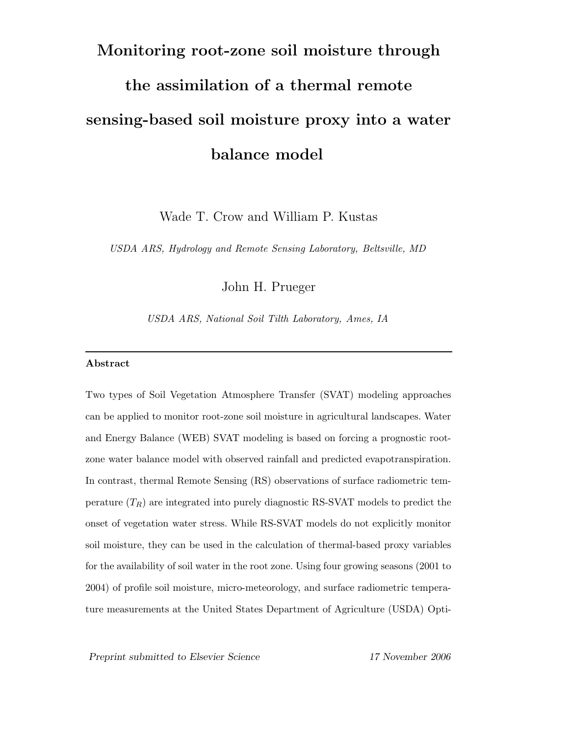# Monitoring root-zone soil moisture through the assimilation of a thermal remote sensing-based soil moisture proxy into a water balance model

Wade T. Crow and William P. Kustas

USDA ARS, Hydrology and Remote Sensing Laboratory, Beltsville, MD

John H. Prueger

USDA ARS, National Soil Tilth Laboratory, Ames, IA

#### Abstract

Two types of Soil Vegetation Atmosphere Transfer (SVAT) modeling approaches can be applied to monitor root-zone soil moisture in agricultural landscapes. Water and Energy Balance (WEB) SVAT modeling is based on forcing a prognostic rootzone water balance model with observed rainfall and predicted evapotranspiration. In contrast, thermal Remote Sensing (RS) observations of surface radiometric temperature  $(T_R)$  are integrated into purely diagnostic RS-SVAT models to predict the onset of vegetation water stress. While RS-SVAT models do not explicitly monitor soil moisture, they can be used in the calculation of thermal-based proxy variables for the availability of soil water in the root zone. Using four growing seasons (2001 to 2004) of profile soil moisture, micro-meteorology, and surface radiometric temperature measurements at the United States Department of Agriculture (USDA) Opti-

Preprint submitted to Elsevier Science 17 November 2006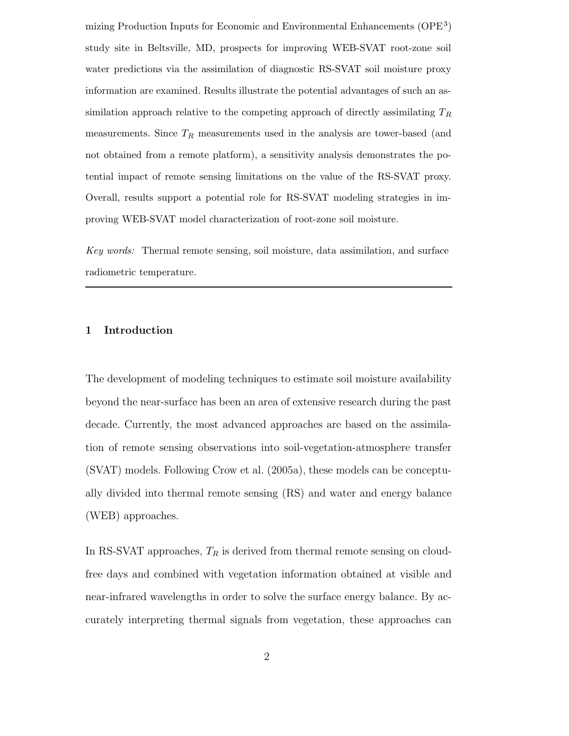mizing Production Inputs for Economic and Environmental Enhancements (OPE<sup>3</sup>) study site in Beltsville, MD, prospects for improving WEB-SVAT root-zone soil water predictions via the assimilation of diagnostic RS-SVAT soil moisture proxy information are examined. Results illustrate the potential advantages of such an assimilation approach relative to the competing approach of directly assimilating  $T_R$ measurements. Since  $T_R$  measurements used in the analysis are tower-based (and not obtained from a remote platform), a sensitivity analysis demonstrates the potential impact of remote sensing limitations on the value of the RS-SVAT proxy. Overall, results support a potential role for RS-SVAT modeling strategies in improving WEB-SVAT model characterization of root-zone soil moisture.

Key words: Thermal remote sensing, soil moisture, data assimilation, and surface radiometric temperature.

#### 1 Introduction

The development of modeling techniques to estimate soil moisture availability beyond the near-surface has been an area of extensive research during the past decade. Currently, the most advanced approaches are based on the assimilation of remote sensing observations into soil-vegetation-atmosphere transfer (SVAT) models. Following Crow et al. (2005a), these models can be conceptually divided into thermal remote sensing (RS) and water and energy balance (WEB) approaches.

In RS-SVAT approaches,  $T_R$  is derived from thermal remote sensing on cloudfree days and combined with vegetation information obtained at visible and near-infrared wavelengths in order to solve the surface energy balance. By accurately interpreting thermal signals from vegetation, these approaches can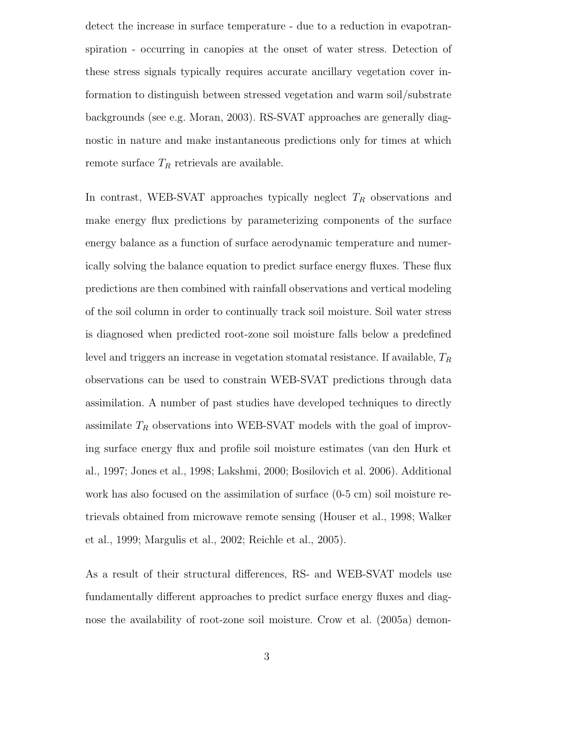detect the increase in surface temperature - due to a reduction in evapotranspiration - occurring in canopies at the onset of water stress. Detection of these stress signals typically requires accurate ancillary vegetation cover information to distinguish between stressed vegetation and warm soil/substrate backgrounds (see e.g. Moran, 2003). RS-SVAT approaches are generally diagnostic in nature and make instantaneous predictions only for times at which remote surface  $T_R$  retrievals are available.

In contrast, WEB-SVAT approaches typically neglect  $T_R$  observations and make energy flux predictions by parameterizing components of the surface energy balance as a function of surface aerodynamic temperature and numerically solving the balance equation to predict surface energy fluxes. These flux predictions are then combined with rainfall observations and vertical modeling of the soil column in order to continually track soil moisture. Soil water stress is diagnosed when predicted root-zone soil moisture falls below a predefined level and triggers an increase in vegetation stomatal resistance. If available,  $T_R$ observations can be used to constrain WEB-SVAT predictions through data assimilation. A number of past studies have developed techniques to directly assimilate  $T_R$  observations into WEB-SVAT models with the goal of improving surface energy flux and profile soil moisture estimates (van den Hurk et al., 1997; Jones et al., 1998; Lakshmi, 2000; Bosilovich et al. 2006). Additional work has also focused on the assimilation of surface (0-5 cm) soil moisture retrievals obtained from microwave remote sensing (Houser et al., 1998; Walker et al., 1999; Margulis et al., 2002; Reichle et al., 2005).

As a result of their structural differences, RS- and WEB-SVAT models use fundamentally different approaches to predict surface energy fluxes and diagnose the availability of root-zone soil moisture. Crow et al. (2005a) demon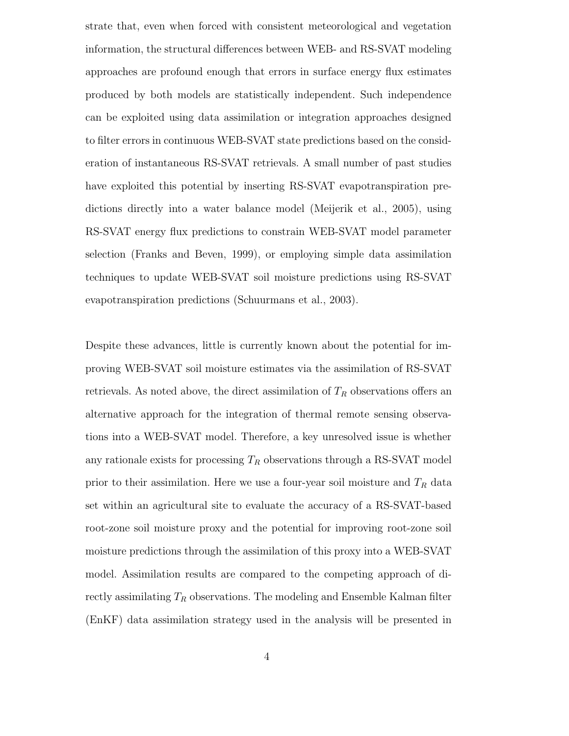strate that, even when forced with consistent meteorological and vegetation information, the structural differences between WEB- and RS-SVAT modeling approaches are profound enough that errors in surface energy flux estimates produced by both models are statistically independent. Such independence can be exploited using data assimilation or integration approaches designed to filter errors in continuous WEB-SVAT state predictions based on the consideration of instantaneous RS-SVAT retrievals. A small number of past studies have exploited this potential by inserting RS-SVAT evapotranspiration predictions directly into a water balance model (Meijerik et al., 2005), using RS-SVAT energy flux predictions to constrain WEB-SVAT model parameter selection (Franks and Beven, 1999), or employing simple data assimilation techniques to update WEB-SVAT soil moisture predictions using RS-SVAT evapotranspiration predictions (Schuurmans et al., 2003).

Despite these advances, little is currently known about the potential for improving WEB-SVAT soil moisture estimates via the assimilation of RS-SVAT retrievals. As noted above, the direct assimilation of  $T_R$  observations offers an alternative approach for the integration of thermal remote sensing observations into a WEB-SVAT model. Therefore, a key unresolved issue is whether any rationale exists for processing  $T_R$  observations through a RS-SVAT model prior to their assimilation. Here we use a four-year soil moisture and  $T_R$  data set within an agricultural site to evaluate the accuracy of a RS-SVAT-based root-zone soil moisture proxy and the potential for improving root-zone soil moisture predictions through the assimilation of this proxy into a WEB-SVAT model. Assimilation results are compared to the competing approach of directly assimilating  $T_R$  observations. The modeling and Ensemble Kalman filter (EnKF) data assimilation strategy used in the analysis will be presented in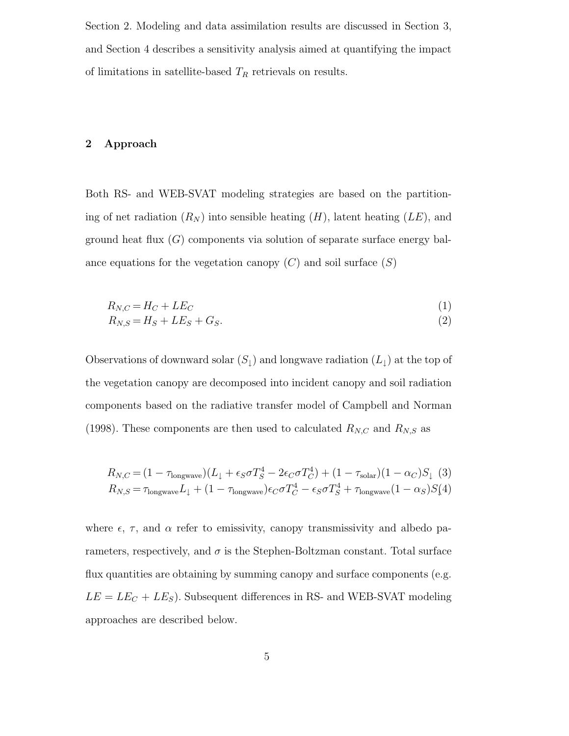Section 2. Modeling and data assimilation results are discussed in Section 3, and Section 4 describes a sensitivity analysis aimed at quantifying the impact of limitations in satellite-based  $T_R$  retrievals on results.

# 2 Approach

Both RS- and WEB-SVAT modeling strategies are based on the partitioning of net radiation  $(R_N)$  into sensible heating  $(H)$ , latent heating  $(LE)$ , and ground heat flux  $(G)$  components via solution of separate surface energy balance equations for the vegetation canopy  $(C)$  and soil surface  $(S)$ 

$$
R_{N,C} = H_C + LE_C \tag{1}
$$

$$
R_{N,S} = H_S + LE_S + G_S. \tag{2}
$$

Observations of downward solar  $(S_1)$  and longwave radiation  $(L_1)$  at the top of the vegetation canopy are decomposed into incident canopy and soil radiation components based on the radiative transfer model of Campbell and Norman (1998). These components are then used to calculated  $R_{N,C}$  and  $R_{N,S}$  as

$$
R_{N,C} = (1 - \tau_{\text{longwave}})(L_{\downarrow} + \epsilon_S \sigma T_S^4 - 2\epsilon_C \sigma T_C^4) + (1 - \tau_{\text{solar}})(1 - \alpha_C)S_{\downarrow}
$$
 (3)  

$$
R_{N,S} = \tau_{\text{longwave}}L_{\downarrow} + (1 - \tau_{\text{longwave}})\epsilon_C \sigma T_C^4 - \epsilon_S \sigma T_S^4 + \tau_{\text{longwave}}(1 - \alpha_S)S_{\downarrow}
$$

where  $\epsilon$ ,  $\tau$ , and  $\alpha$  refer to emissivity, canopy transmissivity and albedo parameters, respectively, and  $\sigma$  is the Stephen-Boltzman constant. Total surface flux quantities are obtaining by summing canopy and surface components (e.g.  $LE = LE_C + LE_S$ ). Subsequent differences in RS- and WEB-SVAT modeling approaches are described below.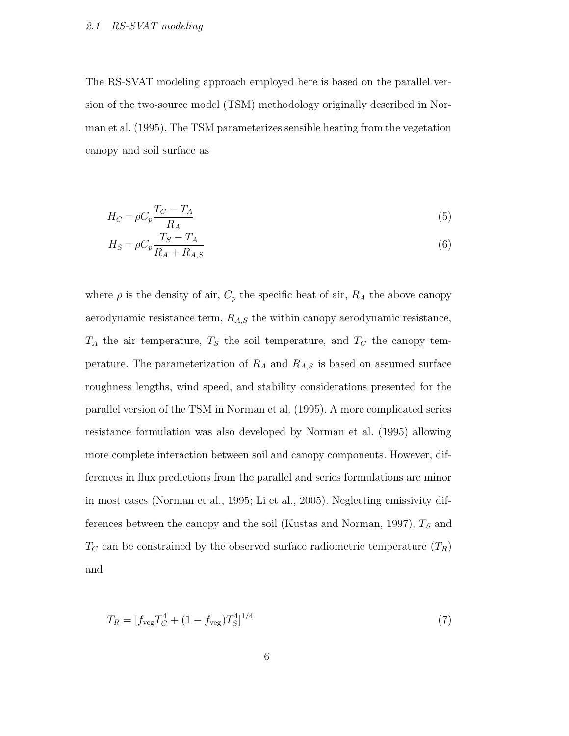# 2.1 RS-SVAT modeling

The RS-SVAT modeling approach employed here is based on the parallel version of the two-source model (TSM) methodology originally described in Norman et al. (1995). The TSM parameterizes sensible heating from the vegetation canopy and soil surface as

$$
H_C = \rho C_p \frac{T_C - T_A}{R_A} \tag{5}
$$

$$
H_S = \rho C_p \frac{T_S - T_A}{R_A + R_{A,S}}\tag{6}
$$

where  $\rho$  is the density of air,  $C_p$  the specific heat of air,  $R_A$  the above canopy aerodynamic resistance term,  $R_{A,S}$  the within canopy aerodynamic resistance,  $T_A$  the air temperature,  $T_S$  the soil temperature, and  $T_C$  the canopy temperature. The parameterization of  $R_A$  and  $R_{A,S}$  is based on assumed surface roughness lengths, wind speed, and stability considerations presented for the parallel version of the TSM in Norman et al. (1995). A more complicated series resistance formulation was also developed by Norman et al. (1995) allowing more complete interaction between soil and canopy components. However, differences in flux predictions from the parallel and series formulations are minor in most cases (Norman et al., 1995; Li et al., 2005). Neglecting emissivity differences between the canopy and the soil (Kustas and Norman, 1997),  $T<sub>S</sub>$  and  $T_C$  can be constrained by the observed surface radiometric temperature  $(T_R)$ and

$$
T_R = [f_{\text{veg}} T_C^4 + (1 - f_{\text{veg}}) T_S^4]^{1/4}
$$
\n(7)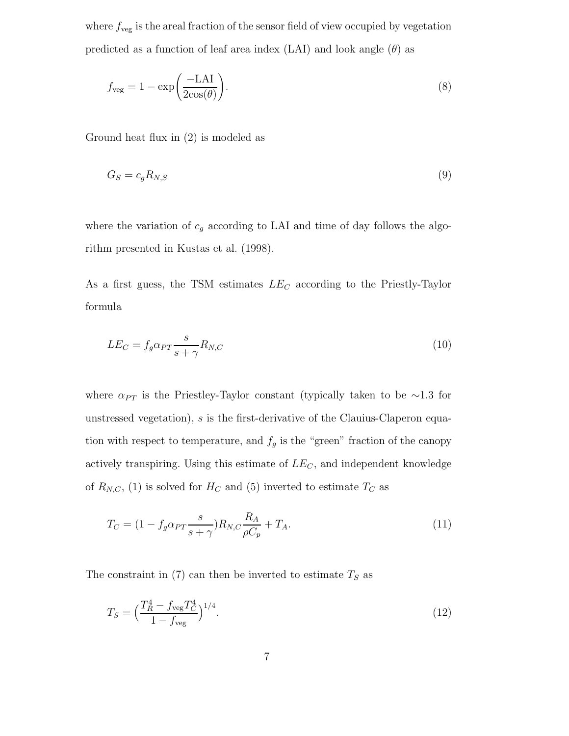where  $f_{\text{veg}}$  is the areal fraction of the sensor field of view occupied by vegetation predicted as a function of leaf area index (LAI) and look angle  $(\theta)$  as

$$
f_{\rm veg} = 1 - \exp\left(\frac{-\text{LAI}}{2\cos(\theta)}\right). \tag{8}
$$

Ground heat flux in (2) is modeled as

$$
G_S = c_g R_{N,S} \tag{9}
$$

where the variation of  $c_g$  according to LAI and time of day follows the algorithm presented in Kustas et al. (1998).

As a first guess, the TSM estimates  $LE_C$  according to the Priestly-Taylor formula

$$
LE_C = f_g \alpha_{PT} \frac{s}{s + \gamma} R_{N,C}
$$
\n(10)

where  $\alpha_{PT}$  is the Priestley-Taylor constant (typically taken to be ∼1.3 for unstressed vegetation), s is the first-derivative of the Clauius-Claperon equation with respect to temperature, and  $f_g$  is the "green" fraction of the canopy actively transpiring. Using this estimate of  $LE_C$ , and independent knowledge of  $R_{N,C}$ , (1) is solved for  $H_C$  and (5) inverted to estimate  $T_C$  as

$$
T_C = (1 - f_g \alpha_{PT} \frac{s}{s + \gamma}) R_{N,C} \frac{R_A}{\rho C_p} + T_A.
$$
\n
$$
(11)
$$

The constraint in  $(7)$  can then be inverted to estimate  $T<sub>S</sub>$  as

$$
T_S = \left(\frac{T_R^4 - f_{\text{veg}} T_C^4}{1 - f_{\text{veg}}}\right)^{1/4}.\tag{12}
$$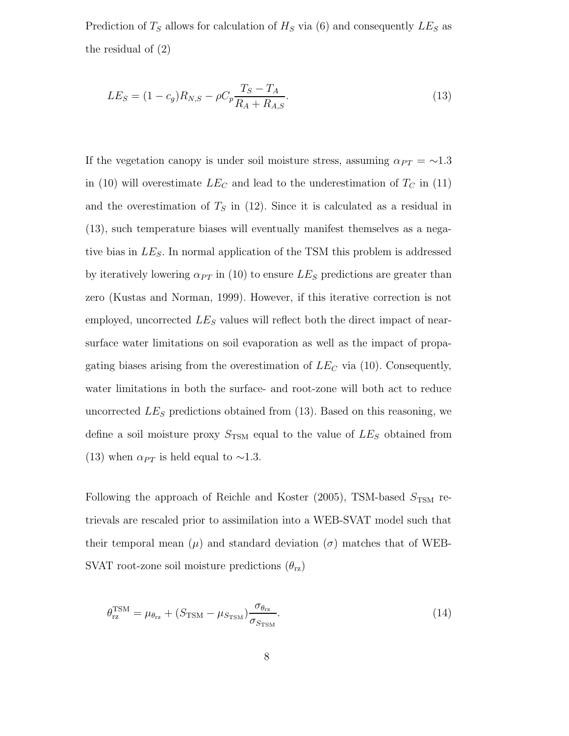Prediction of  $T<sub>S</sub>$  allows for calculation of  $H<sub>S</sub>$  via (6) and consequently  $LE<sub>S</sub>$  as the residual of (2)

$$
LE_S = (1 - c_g)R_{N,S} - \rho C_p \frac{T_S - T_A}{R_A + R_{A,S}}.\tag{13}
$$

If the vegetation canopy is under soil moisture stress, assuming  $\alpha_{PT} = \sim 1.3$ in (10) will overestimate  $LE_C$  and lead to the underestimation of  $T_C$  in (11) and the overestimation of  $T<sub>S</sub>$  in (12). Since it is calculated as a residual in (13), such temperature biases will eventually manifest themselves as a negative bias in  $LE<sub>S</sub>$ . In normal application of the TSM this problem is addressed by iteratively lowering  $\alpha_{PT}$  in (10) to ensure  $LE_S$  predictions are greater than zero (Kustas and Norman, 1999). However, if this iterative correction is not employed, uncorrected  $LE<sub>S</sub>$  values will reflect both the direct impact of nearsurface water limitations on soil evaporation as well as the impact of propagating biases arising from the overestimation of  $LE_C$  via (10). Consequently, water limitations in both the surface- and root-zone will both act to reduce uncorrected  $LE<sub>S</sub>$  predictions obtained from (13). Based on this reasoning, we define a soil moisture proxy  $S_{\text{TSM}}$  equal to the value of  $LE_S$  obtained from (13) when  $\alpha_{PT}$  is held equal to ∼1.3.

Following the approach of Reichle and Koster (2005), TSM-based  $S_{\text{TSM}}$  retrievals are rescaled prior to assimilation into a WEB-SVAT model such that their temporal mean  $(\mu)$  and standard deviation  $(\sigma)$  matches that of WEB-SVAT root-zone soil moisture predictions  $(\theta_{rz})$ 

$$
\theta_{\rm rz}^{\rm TSM} = \mu_{\theta_{\rm rz}} + (S_{\rm TSM} - \mu_{S_{\rm TSM}}) \frac{\sigma_{\theta_{\rm rz}}}{\sigma_{S_{\rm TSM}}}.
$$
\n(14)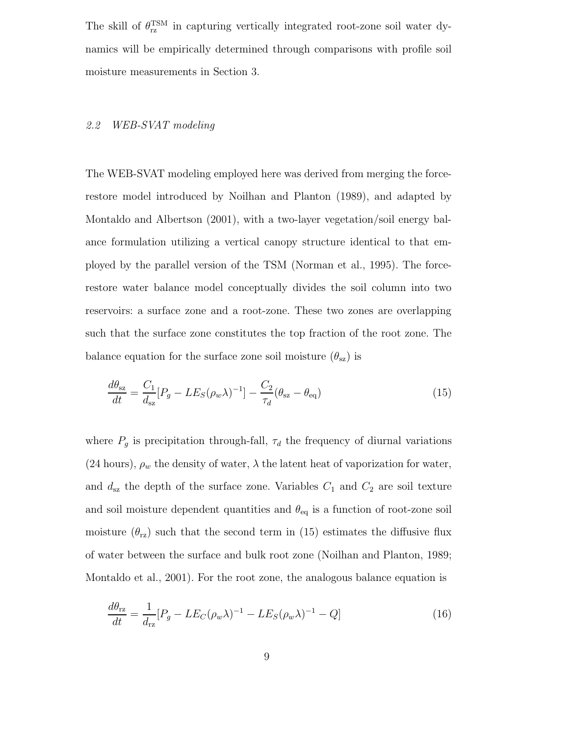The skill of  $\theta_{\text{rz}}^{\text{TSM}}$  in capturing vertically integrated root-zone soil water dynamics will be empirically determined through comparisons with profile soil moisture measurements in Section 3.

# 2.2 WEB-SVAT modeling

The WEB-SVAT modeling employed here was derived from merging the forcerestore model introduced by Noilhan and Planton (1989), and adapted by Montaldo and Albertson (2001), with a two-layer vegetation/soil energy balance formulation utilizing a vertical canopy structure identical to that employed by the parallel version of the TSM (Norman et al., 1995). The forcerestore water balance model conceptually divides the soil column into two reservoirs: a surface zone and a root-zone. These two zones are overlapping such that the surface zone constitutes the top fraction of the root zone. The balance equation for the surface zone soil moisture  $(\theta_{sz})$  is

$$
\frac{d\theta_{\rm sz}}{dt} = \frac{C_1}{d_{\rm sz}} [P_g - LE_S(\rho_w \lambda)^{-1}] - \frac{C_2}{\tau_d} (\theta_{\rm sz} - \theta_{\rm eq})
$$
\n(15)

where  $P_g$  is precipitation through-fall,  $\tau_d$  the frequency of diurnal variations (24 hours),  $\rho_w$  the density of water,  $\lambda$  the latent heat of vaporization for water, and  $d_{sz}$  the depth of the surface zone. Variables  $C_1$  and  $C_2$  are soil texture and soil moisture dependent quantities and  $\theta_{\text{eq}}$  is a function of root-zone soil moisture  $(\theta_{\text{rz}})$  such that the second term in (15) estimates the diffusive flux of water between the surface and bulk root zone (Noilhan and Planton, 1989; Montaldo et al., 2001). For the root zone, the analogous balance equation is

$$
\frac{d\theta_{\rm rz}}{dt} = \frac{1}{d_{\rm rz}} [P_g - LE_C(\rho_w \lambda)^{-1} - LE_S(\rho_w \lambda)^{-1} - Q] \tag{16}
$$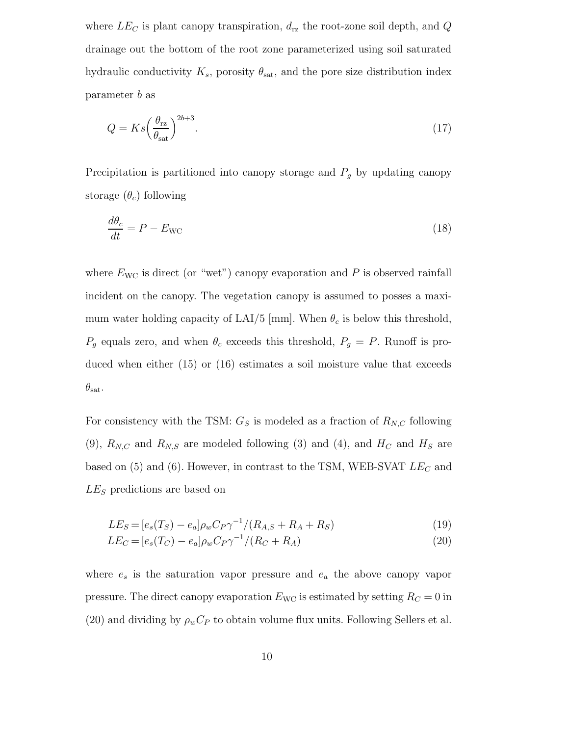where  $LE_C$  is plant canopy transpiration,  $d_{\text{rz}}$  the root-zone soil depth, and Q drainage out the bottom of the root zone parameterized using soil saturated hydraulic conductivity  $K_s$ , porosity  $\theta_{\text{sat}}$ , and the pore size distribution index parameter b as

$$
Q = Ks \left(\frac{\theta_{\rm rz}}{\theta_{\rm sat}}\right)^{2b+3}.\tag{17}
$$

Precipitation is partitioned into canopy storage and  $P_g$  by updating canopy storage  $(\theta_c)$  following

$$
\frac{d\theta_c}{dt} = P - E_{\text{WC}} \tag{18}
$$

where  $E_{\text{WC}}$  is direct (or "wet") canopy evaporation and  $P$  is observed rainfall incident on the canopy. The vegetation canopy is assumed to posses a maximum water holding capacity of LAI/5 [mm]. When  $\theta_c$  is below this threshold,  $P_g$  equals zero, and when  $\theta_c$  exceeds this threshold,  $P_g = P$ . Runoff is produced when either (15) or (16) estimates a soil moisture value that exceeds  $\theta_{\rm sat}$ .

For consistency with the TSM:  $G_S$  is modeled as a fraction of  $R_{N,C}$  following (9),  $R_{N,C}$  and  $R_{N,S}$  are modeled following (3) and (4), and  $H_C$  and  $H_S$  are based on  $(5)$  and  $(6)$ . However, in contrast to the TSM, WEB-SVAT  $LE_C$  and  $LE<sub>S</sub>$  predictions are based on

$$
LE_S = [e_s(T_S) - e_a] \rho_w C_P \gamma^{-1} / (R_{A,S} + R_A + R_S)
$$
\n(19)

$$
LE_C = [e_s(T_C) - e_a] \rho_w C_P \gamma^{-1} / (R_C + R_A)
$$
\n(20)

where  $e_s$  is the saturation vapor pressure and  $e_a$  the above canopy vapor pressure. The direct canopy evaporation  $E_{\text{WC}}$  is estimated by setting  $R_C = 0$  in (20) and dividing by  $\rho_w C_P$  to obtain volume flux units. Following Sellers et al.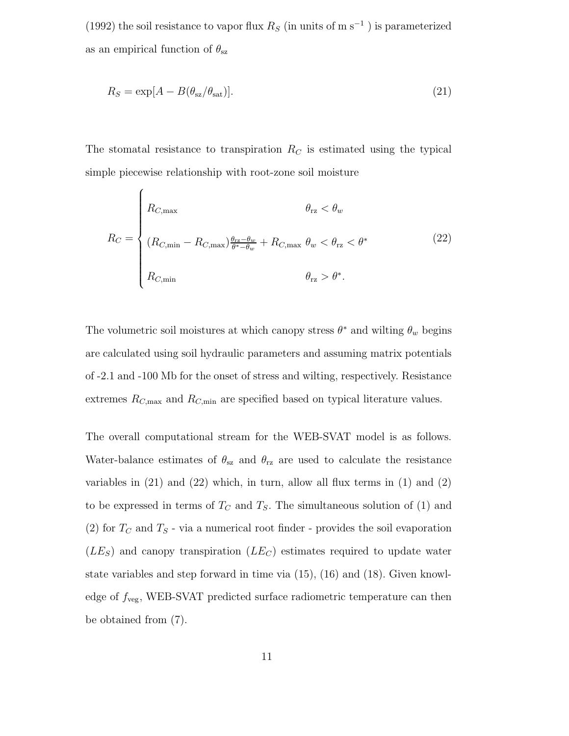(1992) the soil resistance to vapor flux  $R_S$  (in units of m s<sup>-1</sup>) is parameterized as an empirical function of  $\theta_{\text{sz}}$ 

$$
R_S = \exp[A - B(\theta_{\rm sz}/\theta_{\rm sat})].\tag{21}
$$

The stomatal resistance to transpiration  $R_C$  is estimated using the typical simple piecewise relationship with root-zone soil moisture

$$
R_C = \begin{cases} R_{C,\max} & \theta_{\rm rz} < \theta_w \\ (R_{C,\min} - R_{C,\max}) \frac{\theta_{\rm rz} - \theta_w}{\theta^* - \theta_w} + R_{C,\max} \ \theta_w < \theta_{\rm rz} < \theta^* \\ R_{C,\min} & \theta_{\rm rz} > \theta^*. \end{cases}
$$
 (22)

The volumetric soil moistures at which canopy stress  $\theta^*$  and wilting  $\theta_w$  begins are calculated using soil hydraulic parameters and assuming matrix potentials of -2.1 and -100 Mb for the onset of stress and wilting, respectively. Resistance extremes  $R_{C, \text{max}}$  and  $R_{C, \text{min}}$  are specified based on typical literature values.

The overall computational stream for the WEB-SVAT model is as follows. Water-balance estimates of  $\theta_{sz}$  and  $\theta_{rz}$  are used to calculate the resistance variables in  $(21)$  and  $(22)$  which, in turn, allow all flux terms in  $(1)$  and  $(2)$ to be expressed in terms of  $T_c$  and  $T_s$ . The simultaneous solution of (1) and (2) for  $T_c$  and  $T_s$  - via a numerical root finder - provides the soil evaporation  $(LE<sub>S</sub>)$  and canopy transpiration  $(LE<sub>C</sub>)$  estimates required to update water state variables and step forward in time via (15), (16) and (18). Given knowledge of  $f_{\text{veg}}$ , WEB-SVAT predicted surface radiometric temperature can then be obtained from (7).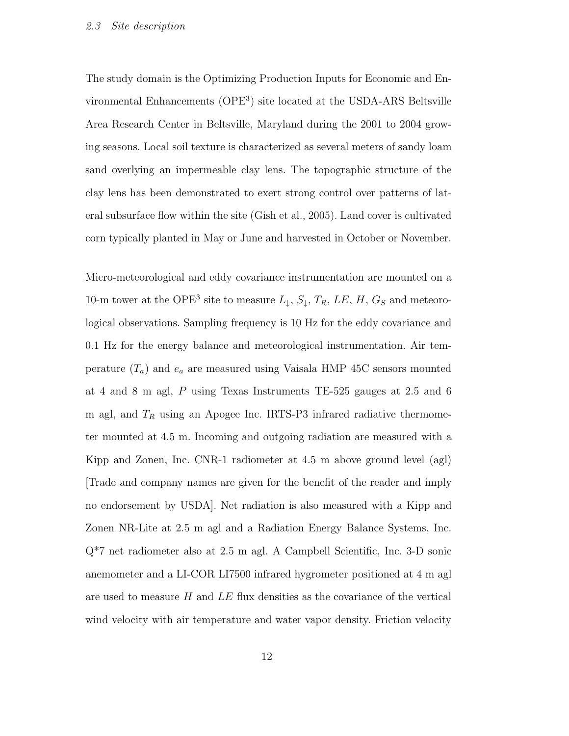The study domain is the Optimizing Production Inputs for Economic and Environmental Enhancements (OPE<sup>3</sup> ) site located at the USDA-ARS Beltsville Area Research Center in Beltsville, Maryland during the 2001 to 2004 growing seasons. Local soil texture is characterized as several meters of sandy loam sand overlying an impermeable clay lens. The topographic structure of the clay lens has been demonstrated to exert strong control over patterns of lateral subsurface flow within the site (Gish et al., 2005). Land cover is cultivated corn typically planted in May or June and harvested in October or November.

Micro-meteorological and eddy covariance instrumentation are mounted on a 10-m tower at the OPE<sup>3</sup> site to measure  $L_1$ ,  $S_1$ ,  $T_R$ ,  $LE$ ,  $H$ ,  $G_S$  and meteorological observations. Sampling frequency is 10 Hz for the eddy covariance and 0.1 Hz for the energy balance and meteorological instrumentation. Air temperature  $(T_a)$  and  $e_a$  are measured using Vaisala HMP 45C sensors mounted at 4 and 8 m agl, P using Texas Instruments TE-525 gauges at 2.5 and 6 m agl, and  $T_R$  using an Apogee Inc. IRTS-P3 infrared radiative thermometer mounted at 4.5 m. Incoming and outgoing radiation are measured with a Kipp and Zonen, Inc. CNR-1 radiometer at 4.5 m above ground level (agl) [Trade and company names are given for the benefit of the reader and imply no endorsement by USDA]. Net radiation is also measured with a Kipp and Zonen NR-Lite at 2.5 m agl and a Radiation Energy Balance Systems, Inc. Q\*7 net radiometer also at 2.5 m agl. A Campbell Scientific, Inc. 3-D sonic anemometer and a LI-COR LI7500 infrared hygrometer positioned at 4 m agl are used to measure  $H$  and  $LE$  flux densities as the covariance of the vertical wind velocity with air temperature and water vapor density. Friction velocity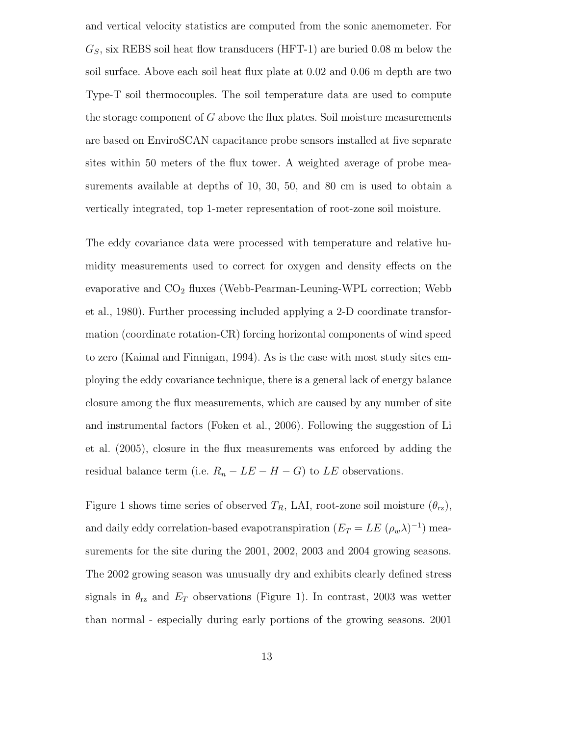and vertical velocity statistics are computed from the sonic anemometer. For  $G<sub>S</sub>$ , six REBS soil heat flow transducers (HFT-1) are buried 0.08 m below the soil surface. Above each soil heat flux plate at 0.02 and 0.06 m depth are two Type-T soil thermocouples. The soil temperature data are used to compute the storage component of  $G$  above the flux plates. Soil moisture measurements are based on EnviroSCAN capacitance probe sensors installed at five separate sites within 50 meters of the flux tower. A weighted average of probe measurements available at depths of 10, 30, 50, and 80 cm is used to obtain a vertically integrated, top 1-meter representation of root-zone soil moisture.

The eddy covariance data were processed with temperature and relative humidity measurements used to correct for oxygen and density effects on the evaporative and  $CO<sub>2</sub>$  fluxes (Webb-Pearman-Leuning-WPL correction; Webb et al., 1980). Further processing included applying a 2-D coordinate transformation (coordinate rotation-CR) forcing horizontal components of wind speed to zero (Kaimal and Finnigan, 1994). As is the case with most study sites employing the eddy covariance technique, there is a general lack of energy balance closure among the flux measurements, which are caused by any number of site and instrumental factors (Foken et al., 2006). Following the suggestion of Li et al. (2005), closure in the flux measurements was enforced by adding the residual balance term (i.e.  $R_n - LE - H - G$ ) to LE observations.

Figure 1 shows time series of observed  $T_R$ , LAI, root-zone soil moisture  $(\theta_{\text{rz}})$ , and daily eddy correlation-based evapotranspiration  $(E_T = LE (\rho_w \lambda)^{-1})$  measurements for the site during the 2001, 2002, 2003 and 2004 growing seasons. The 2002 growing season was unusually dry and exhibits clearly defined stress signals in  $\theta_{rz}$  and  $E_T$  observations (Figure 1). In contrast, 2003 was wetter than normal - especially during early portions of the growing seasons. 2001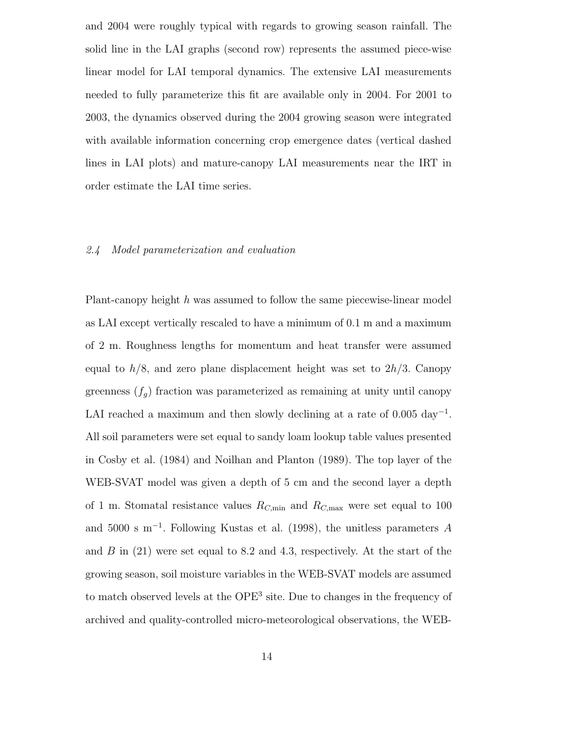and 2004 were roughly typical with regards to growing season rainfall. The solid line in the LAI graphs (second row) represents the assumed piece-wise linear model for LAI temporal dynamics. The extensive LAI measurements needed to fully parameterize this fit are available only in 2004. For 2001 to 2003, the dynamics observed during the 2004 growing season were integrated with available information concerning crop emergence dates (vertical dashed lines in LAI plots) and mature-canopy LAI measurements near the IRT in order estimate the LAI time series.

### 2.4 Model parameterization and evaluation

Plant-canopy height h was assumed to follow the same piecewise-linear model as LAI except vertically rescaled to have a minimum of 0.1 m and a maximum of 2 m. Roughness lengths for momentum and heat transfer were assumed equal to  $h/8$ , and zero plane displacement height was set to  $2h/3$ . Canopy greenness  $(f_g)$  fraction was parameterized as remaining at unity until canopy LAI reached a maximum and then slowly declining at a rate of  $0.005 \text{ day}^{-1}$ . All soil parameters were set equal to sandy loam lookup table values presented in Cosby et al. (1984) and Noilhan and Planton (1989). The top layer of the WEB-SVAT model was given a depth of 5 cm and the second layer a depth of 1 m. Stomatal resistance values  $R_{C,\text{min}}$  and  $R_{C,\text{max}}$  were set equal to 100 and 5000 s m<sup>−</sup><sup>1</sup> . Following Kustas et al. (1998), the unitless parameters A and  $B$  in (21) were set equal to 8.2 and 4.3, respectively. At the start of the growing season, soil moisture variables in the WEB-SVAT models are assumed to match observed levels at the OPE<sup>3</sup> site. Due to changes in the frequency of archived and quality-controlled micro-meteorological observations, the WEB-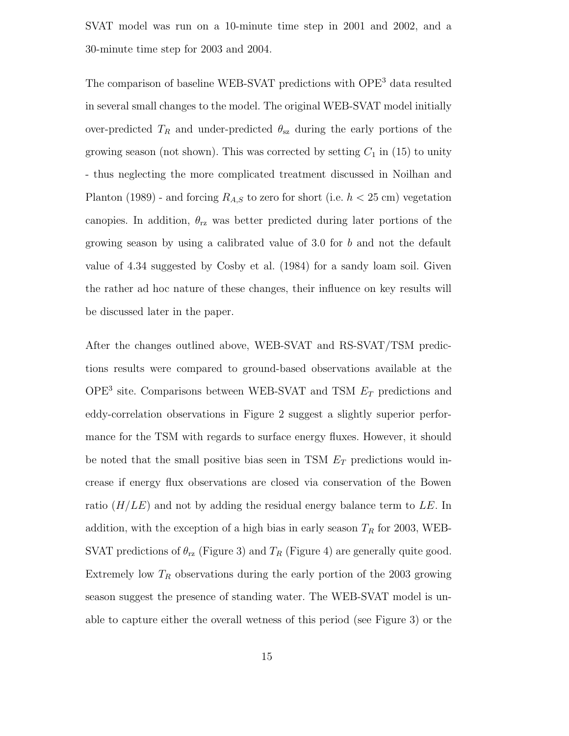SVAT model was run on a 10-minute time step in 2001 and 2002, and a 30-minute time step for 2003 and 2004.

The comparison of baseline WEB-SVAT predictions with OPE<sup>3</sup> data resulted in several small changes to the model. The original WEB-SVAT model initially over-predicted  $T_R$  and under-predicted  $\theta_{sz}$  during the early portions of the growing season (not shown). This was corrected by setting  $C_1$  in (15) to unity - thus neglecting the more complicated treatment discussed in Noilhan and Planton (1989) - and forcing  $R_{A,S}$  to zero for short (i.e.  $h < 25$  cm) vegetation canopies. In addition,  $\theta_{\text{rz}}$  was better predicted during later portions of the growing season by using a calibrated value of 3.0 for b and not the default value of 4.34 suggested by Cosby et al. (1984) for a sandy loam soil. Given the rather ad hoc nature of these changes, their influence on key results will be discussed later in the paper.

After the changes outlined above, WEB-SVAT and RS-SVAT/TSM predictions results were compared to ground-based observations available at the OPE<sup>3</sup> site. Comparisons between WEB-SVAT and TSM  $E_T$  predictions and eddy-correlation observations in Figure 2 suggest a slightly superior performance for the TSM with regards to surface energy fluxes. However, it should be noted that the small positive bias seen in TSM  $E_T$  predictions would increase if energy flux observations are closed via conservation of the Bowen ratio  $(H/LE)$  and not by adding the residual energy balance term to LE. In addition, with the exception of a high bias in early season  $T_R$  for 2003, WEB-SVAT predictions of  $\theta_{\text{rz}}$  (Figure 3) and  $T_R$  (Figure 4) are generally quite good. Extremely low  $T_R$  observations during the early portion of the 2003 growing season suggest the presence of standing water. The WEB-SVAT model is unable to capture either the overall wetness of this period (see Figure 3) or the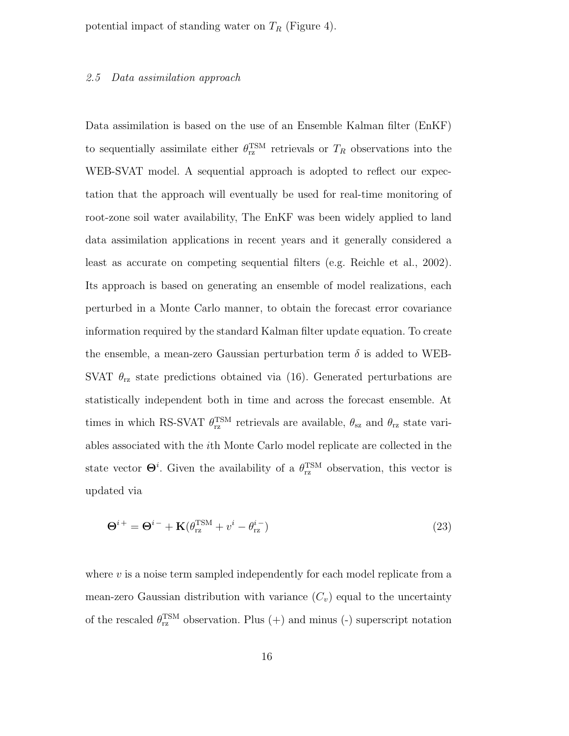potential impact of standing water on  $T_R$  (Figure 4).

#### 2.5 Data assimilation approach

Data assimilation is based on the use of an Ensemble Kalman filter (EnKF) to sequentially assimilate either  $\theta_{\text{rz}}^{\text{TSM}}$  retrievals or  $T_R$  observations into the WEB-SVAT model. A sequential approach is adopted to reflect our expectation that the approach will eventually be used for real-time monitoring of root-zone soil water availability, The EnKF was been widely applied to land data assimilation applications in recent years and it generally considered a least as accurate on competing sequential filters (e.g. Reichle et al., 2002). Its approach is based on generating an ensemble of model realizations, each perturbed in a Monte Carlo manner, to obtain the forecast error covariance information required by the standard Kalman filter update equation. To create the ensemble, a mean-zero Gaussian perturbation term  $\delta$  is added to WEB-SVAT  $\theta_{\text{rz}}$  state predictions obtained via (16). Generated perturbations are statistically independent both in time and across the forecast ensemble. At times in which RS-SVAT  $\theta_{rz}^{TSM}$  retrievals are available,  $\theta_{sz}$  and  $\theta_{rz}$  state variables associated with the ith Monte Carlo model replicate are collected in the state vector  $\Theta^i$ . Given the availability of a  $\theta_{\text{rz}}^{\text{TSM}}$  observation, this vector is updated via

$$
\Theta^{i+} = \Theta^{i-} + \mathbf{K}(\theta_{\text{rz}}^{\text{TSM}} + v^i - \theta_{\text{rz}}^{i-})
$$
\n(23)

where  $v$  is a noise term sampled independently for each model replicate from a mean-zero Gaussian distribution with variance  $(C_v)$  equal to the uncertainty of the rescaled  $\theta_{\text{rz}}^{\text{TSM}}$  observation. Plus (+) and minus (-) superscript notation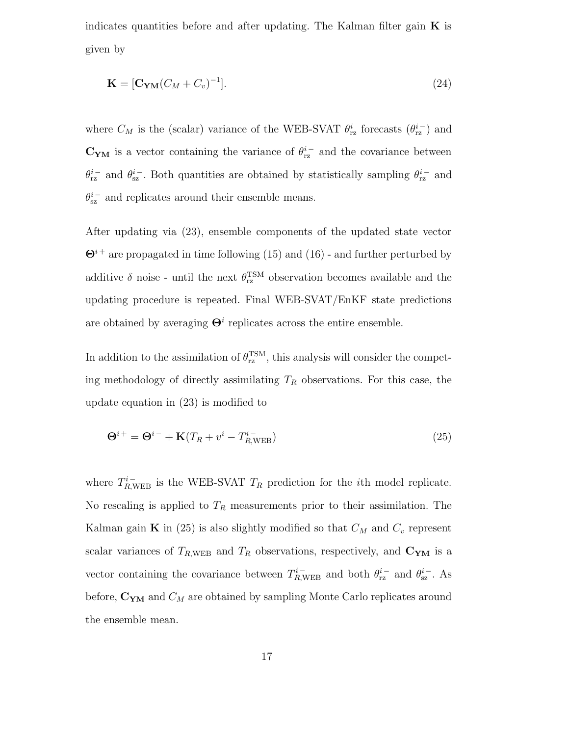indicates quantities before and after updating. The Kalman filter gain  $\bf{K}$  is given by

$$
\mathbf{K} = [\mathbf{C}_{\mathbf{Y}\mathbf{M}}(C_M + C_v)^{-1}]. \tag{24}
$$

where  $C_M$  is the (scalar) variance of the WEB-SVAT  $\theta_{\text{rz}}^i$  forecasts  $(\theta_{\text{rz}}^{i-})$  and  $\mathbf{C}_{\mathbf{YM}}$  is a vector containing the variance of  $\theta_{\text{rz}}^{i-}$  and the covariance between  $\theta_{\text{rz}}^{i-}$  and  $\theta_{\text{sz}}^{i-}$ . Both quantities are obtained by statistically sampling  $\theta_{\text{rz}}^{i-}$  and  $\theta_{\text{sz}}^{i-}$  and replicates around their ensemble means.

After updating via (23), ensemble components of the updated state vector  $\Theta^{i+}$  are propagated in time following (15) and (16) - and further perturbed by additive  $\delta$  noise - until the next  $\theta_{\text{rz}}^{\text{TSM}}$  observation becomes available and the updating procedure is repeated. Final WEB-SVAT/EnKF state predictions are obtained by averaging  $\Theta^i$  replicates across the entire ensemble.

In addition to the assimilation of  $\theta_{\text{rz}}^{\text{TSM}}$ , this analysis will consider the competing methodology of directly assimilating  $T_R$  observations. For this case, the update equation in (23) is modified to

$$
\Theta^{i+} = \Theta^{i-} + \mathbf{K}(T_R + v^i - T_{R,\text{WEB}}^{i-})
$$
\n(25)

where  $T_{R,\text{WEB}}^{i-}$  is the WEB-SVAT  $T_R$  prediction for the *i*th model replicate. No rescaling is applied to  $T_R$  measurements prior to their assimilation. The Kalman gain **K** in (25) is also slightly modified so that  $C_M$  and  $C_v$  represent scalar variances of  $T_{R,\text{WEB}}$  and  $T_R$  observations, respectively, and  $C_{YM}$  is a vector containing the covariance between  $T_{R,\text{WEB}}^{i-}$  and both  $\theta_{\text{rz}}^{i-}$  and  $\theta_{\text{sz}}^{i-}$ . As before,  $C_{YM}$  and  $C_M$  are obtained by sampling Monte Carlo replicates around the ensemble mean.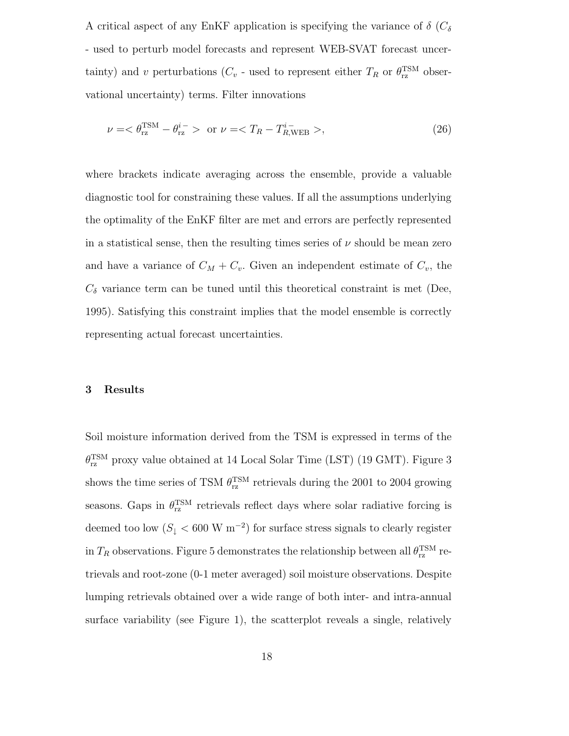A critical aspect of any EnKF application is specifying the variance of  $\delta$  ( $C_{\delta}$ ) - used to perturb model forecasts and represent WEB-SVAT forecast uncertainty) and v perturbations ( $C_v$  - used to represent either  $T_R$  or  $\theta_{\text{rz}}^{\text{TSM}}$  observational uncertainty) terms. Filter innovations

$$
\nu = \langle \theta_{\rm rz}^{\rm TSM} - \theta_{\rm rz}^{i-} \rangle \quad \text{or} \quad \nu = \langle T_R - T_{R,\text{WEB}}^{i-} \rangle, \tag{26}
$$

where brackets indicate averaging across the ensemble, provide a valuable diagnostic tool for constraining these values. If all the assumptions underlying the optimality of the EnKF filter are met and errors are perfectly represented in a statistical sense, then the resulting times series of  $\nu$  should be mean zero and have a variance of  $C_M + C_v$ . Given an independent estimate of  $C_v$ , the  $C_{\delta}$  variance term can be tuned until this theoretical constraint is met (Dee, 1995). Satisfying this constraint implies that the model ensemble is correctly representing actual forecast uncertainties.

#### 3 Results

Soil moisture information derived from the TSM is expressed in terms of the  $\theta_{\text{rz}}^{\text{TSM}}$  proxy value obtained at 14 Local Solar Time (LST) (19 GMT). Figure 3 shows the time series of TSM  $\theta_{\text{rz}}^{\text{TSM}}$  retrievals during the 2001 to 2004 growing seasons. Gaps in  $\theta_{\text{rz}}^{\text{TSM}}$  retrievals reflect days where solar radiative forcing is deemed too low  $(S_{\downarrow} < 600 \text{ W m}^{-2})$  for surface stress signals to clearly register in  $T_R$  observations. Figure 5 demonstrates the relationship between all  $\theta_{\text{rz}}^{\text{TSM}}$  retrievals and root-zone (0-1 meter averaged) soil moisture observations. Despite lumping retrievals obtained over a wide range of both inter- and intra-annual surface variability (see Figure 1), the scatterplot reveals a single, relatively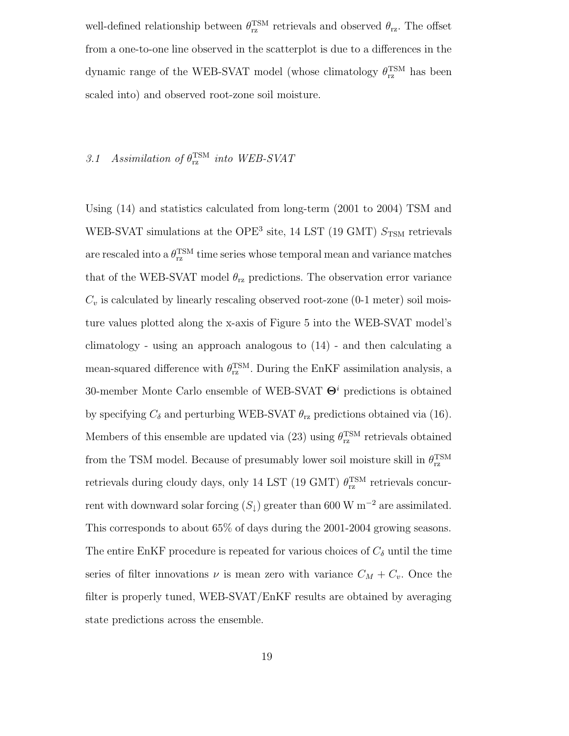well-defined relationship between  $\theta_{\text{rz}}^{\text{TSM}}$  retrievals and observed  $\theta_{\text{rz}}$ . The offset from a one-to-one line observed in the scatterplot is due to a differences in the dynamic range of the WEB-SVAT model (whose climatology  $\theta_{\text{rz}}^{\text{TSM}}$  has been scaled into) and observed root-zone soil moisture.

# 3.1 Assimilation of  $\theta_{\text{rz}}^{\text{TSM}}$  into WEB-SVAT

Using (14) and statistics calculated from long-term (2001 to 2004) TSM and WEB-SVAT simulations at the OPE<sup>3</sup> site, 14 LST (19 GMT)  $S_{\text{TSM}}$  retrievals are rescaled into a  $\theta_{\text{rz}}^{\text{TSM}}$  time series whose temporal mean and variance matches that of the WEB-SVAT model  $\theta_{rz}$  predictions. The observation error variance  $C_v$  is calculated by linearly rescaling observed root-zone (0-1 meter) soil moisture values plotted along the x-axis of Figure 5 into the WEB-SVAT model's climatology - using an approach analogous to  $(14)$  - and then calculating a mean-squared difference with  $\theta_{\text{rz}}^{\text{TSM}}$ . During the EnKF assimilation analysis, a 30-member Monte Carlo ensemble of WEB-SVAT  $\Theta$ <sup>*i*</sup> predictions is obtained by specifying  $C_{\delta}$  and perturbing WEB-SVAT  $\theta_{\text{rz}}$  predictions obtained via (16). Members of this ensemble are updated via (23) using  $\theta_{\text{rz}}^{\text{TSM}}$  retrievals obtained from the TSM model. Because of presumably lower soil moisture skill in  $\theta_{\text{rz}}^{\text{TSM}}$ retrievals during cloudy days, only 14 LST (19 GMT)  $\theta_{\rm rz}^{\rm TSM}$  retrievals concurrent with downward solar forcing  $(S_{\downarrow})$  greater than 600 W m<sup>-2</sup> are assimilated. This corresponds to about 65% of days during the 2001-2004 growing seasons. The entire EnKF procedure is repeated for various choices of  $C_{\delta}$  until the time series of filter innovations  $\nu$  is mean zero with variance  $C_M + C_v$ . Once the filter is properly tuned, WEB-SVAT/EnKF results are obtained by averaging state predictions across the ensemble.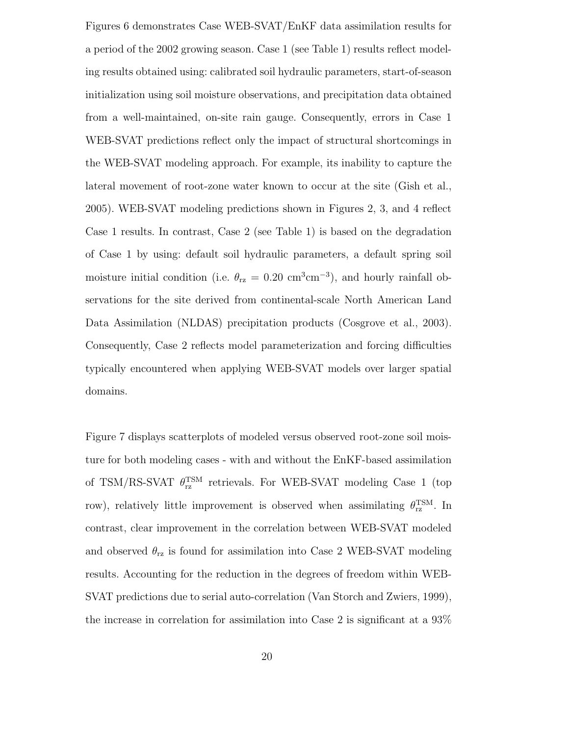Figures 6 demonstrates Case WEB-SVAT/EnKF data assimilation results for a period of the 2002 growing season. Case 1 (see Table 1) results reflect modeling results obtained using: calibrated soil hydraulic parameters, start-of-season initialization using soil moisture observations, and precipitation data obtained from a well-maintained, on-site rain gauge. Consequently, errors in Case 1 WEB-SVAT predictions reflect only the impact of structural shortcomings in the WEB-SVAT modeling approach. For example, its inability to capture the lateral movement of root-zone water known to occur at the site (Gish et al., 2005). WEB-SVAT modeling predictions shown in Figures 2, 3, and 4 reflect Case 1 results. In contrast, Case 2 (see Table 1) is based on the degradation of Case 1 by using: default soil hydraulic parameters, a default spring soil moisture initial condition (i.e.  $\theta_{\text{rz}} = 0.20 \text{ cm}^3 \text{cm}^{-3}$ ), and hourly rainfall observations for the site derived from continental-scale North American Land Data Assimilation (NLDAS) precipitation products (Cosgrove et al., 2003). Consequently, Case 2 reflects model parameterization and forcing difficulties typically encountered when applying WEB-SVAT models over larger spatial domains.

Figure 7 displays scatterplots of modeled versus observed root-zone soil moisture for both modeling cases - with and without the EnKF-based assimilation of TSM/RS-SVAT  $\theta_{\text{rz}}^{\text{TSM}}$  retrievals. For WEB-SVAT modeling Case 1 (top row), relatively little improvement is observed when assimilating  $\theta_{\text{rz}}^{\text{TSM}}$ . In contrast, clear improvement in the correlation between WEB-SVAT modeled and observed  $\theta_{\text{rz}}$  is found for assimilation into Case 2 WEB-SVAT modeling results. Accounting for the reduction in the degrees of freedom within WEB-SVAT predictions due to serial auto-correlation (Van Storch and Zwiers, 1999), the increase in correlation for assimilation into Case 2 is significant at a 93%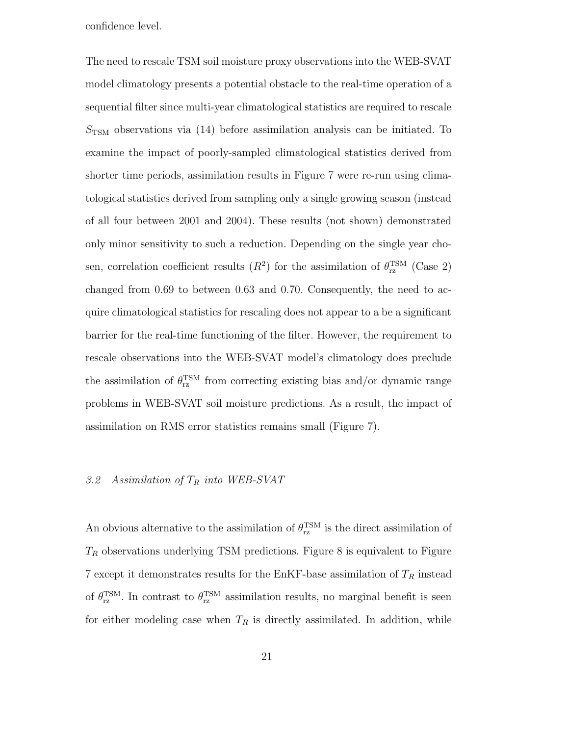confidence level.

The need to rescale TSM soil moisture proxy observations into the WEB-SVAT model climatology presents a potential obstacle to the real-time operation of a sequential filter since multi-year climatological statistics are required to rescale  $S_{\text{TSM}}$  observations via (14) before assimilation analysis can be initiated. To examine the impact of poorly-sampled climatological statistics derived from shorter time periods, assimilation results in Figure 7 were re-run using climatological statistics derived from sampling only a single growing season (instead of all four between 2001 and 2004). These results (not shown) demonstrated only minor sensitivity to such a reduction. Depending on the single year chosen, correlation coefficient results  $(R^2)$  for the assimilation of  $\theta_{\text{rz}}^{\text{TSM}}$  (Case 2) changed from 0.69 to between 0.63 and 0.70. Consequently, the need to acquire climatological statistics for rescaling does not appear to a be a significant barrier for the real-time functioning of the filter. However, the requirement to rescale observations into the WEB-SVAT model's climatology does preclude the assimilation of  $\theta_{\text{rz}}^{\text{TSM}}$  from correcting existing bias and/or dynamic range problems in WEB-SVAT soil moisture predictions. As a result, the impact of assimilation on RMS error statistics remains small (Figure 7).

# 3.2 Assimilation of  $T_R$  into WEB-SVAT

An obvious alternative to the assimilation of  $\theta_{\text{rz}}^{\text{TSM}}$  is the direct assimilation of  $T_R$  observations underlying TSM predictions. Figure 8 is equivalent to Figure 7 except it demonstrates results for the EnKF-base assimilation of  ${\cal T}_R$  instead of  $\theta_{\text{rz}}^{\text{TSM}}$ . In contrast to  $\theta_{\text{rz}}^{\text{TSM}}$  assimilation results, no marginal benefit is seen for either modeling case when  $T_R$  is directly assimilated. In addition, while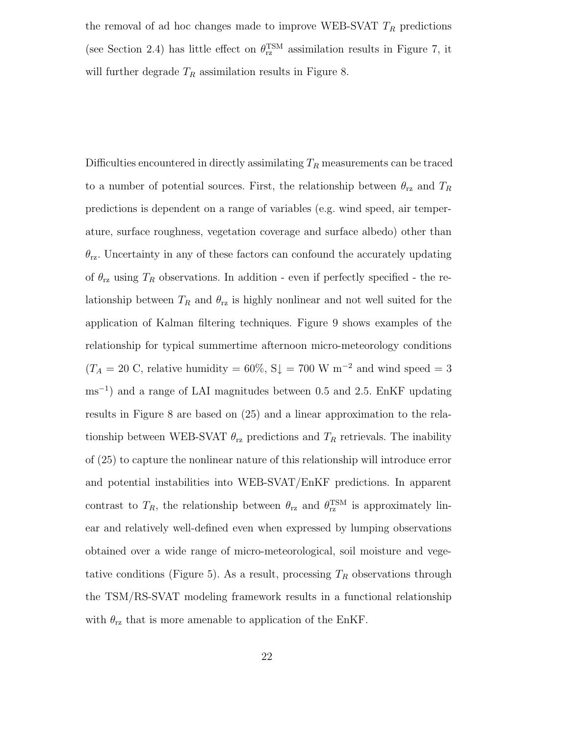the removal of ad hoc changes made to improve WEB-SVAT  $T_R$  predictions (see Section 2.4) has little effect on  $\theta_{\text{rz}}^{\text{TSM}}$  assimilation results in Figure 7, it will further degrade  $T_R$  assimilation results in Figure 8.

Difficulties encountered in directly assimilating  $T_R$  measurements can be traced to a number of potential sources. First, the relationship between  $\theta_{\rm rz}$  and  $T_R$ predictions is dependent on a range of variables (e.g. wind speed, air temperature, surface roughness, vegetation coverage and surface albedo) other than  $\theta_{\text{rz}}$ . Uncertainty in any of these factors can confound the accurately updating of  $\theta_{\text{rz}}$  using  $T_R$  observations. In addition - even if perfectly specified - the relationship between  $T_R$  and  $\theta_{rz}$  is highly nonlinear and not well suited for the application of Kalman filtering techniques. Figure 9 shows examples of the relationship for typical summertime afternoon micro-meteorology conditions  $(T_A = 20 \text{ C}, \text{ relative humidity} = 60\%, \text{ S} \downarrow = 700 \text{ W m}^{-2} \text{ and wind speed} = 3$ ms<sup>−</sup><sup>1</sup> ) and a range of LAI magnitudes between 0.5 and 2.5. EnKF updating results in Figure 8 are based on (25) and a linear approximation to the relationship between WEB-SVAT  $\theta_{\text{rz}}$  predictions and  $T_R$  retrievals. The inability of (25) to capture the nonlinear nature of this relationship will introduce error and potential instabilities into WEB-SVAT/EnKF predictions. In apparent contrast to  $T_R$ , the relationship between  $\theta_{rz}$  and  $\theta_{rz}^{TSM}$  is approximately linear and relatively well-defined even when expressed by lumping observations obtained over a wide range of micro-meteorological, soil moisture and vegetative conditions (Figure 5). As a result, processing  $T_R$  observations through the TSM/RS-SVAT modeling framework results in a functional relationship with  $\theta_{\text{rz}}$  that is more amenable to application of the EnKF.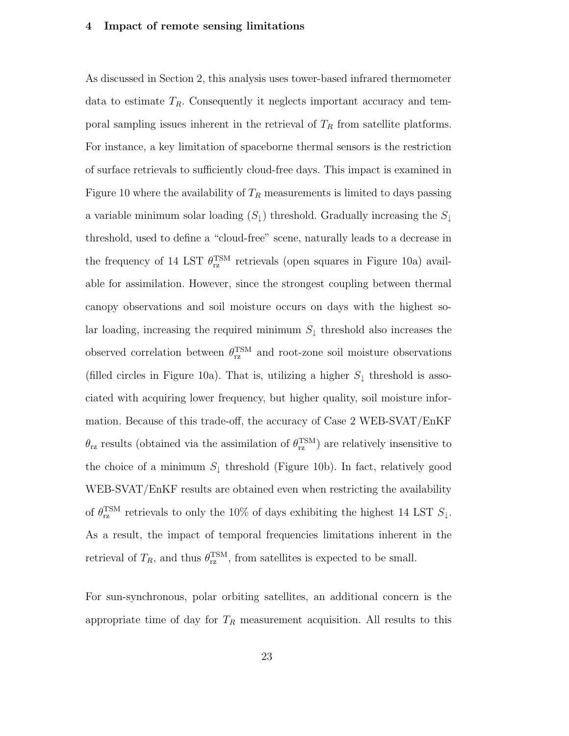#### 4 Impact of remote sensing limitations

As discussed in Section 2, this analysis uses tower-based infrared thermometer data to estimate  $T_R$ . Consequently it neglects important accuracy and temporal sampling issues inherent in the retrieval of  $T_R$  from satellite platforms. For instance, a key limitation of spaceborne thermal sensors is the restriction of surface retrievals to sufficiently cloud-free days. This impact is examined in Figure 10 where the availability of  $T_R$  measurements is limited to days passing a variable minimum solar loading  $(S_{\downarrow})$  threshold. Gradually increasing the  $S_{\downarrow}$ threshold, used to define a "cloud-free" scene, naturally leads to a decrease in the frequency of 14 LST  $\theta_{\text{rz}}^{\text{TSM}}$  retrievals (open squares in Figure 10a) available for assimilation. However, since the strongest coupling between thermal canopy observations and soil moisture occurs on days with the highest solar loading, increasing the required minimum  $S_{\downarrow}$  threshold also increases the observed correlation between  $\theta_{\text{rz}}^{\text{TSM}}$  and root-zone soil moisture observations (filled circles in Figure 10a). That is, utilizing a higher  $S_{\downarrow}$  threshold is associated with acquiring lower frequency, but higher quality, soil moisture information. Because of this trade-off, the accuracy of Case 2 WEB-SVAT/EnKF  $\theta_{\text{rz}}$  results (obtained via the assimilation of  $\theta_{\text{rz}}^{\text{TSM}}$ ) are relatively insensitive to the choice of a minimum  $S_{\downarrow}$  threshold (Figure 10b). In fact, relatively good WEB-SVAT/EnKF results are obtained even when restricting the availability of  $\theta_{\rm rz}^{\rm TSM}$  retrievals to only the 10% of days exhibiting the highest 14 LST  $S_{\downarrow}$ . As a result, the impact of temporal frequencies limitations inherent in the retrieval of  $T_R$ , and thus  $\theta_{\text{rz}}^{\text{TSM}}$ , from satellites is expected to be small.

For sun-synchronous, polar orbiting satellites, an additional concern is the appropriate time of day for  $T_R$  measurement acquisition. All results to this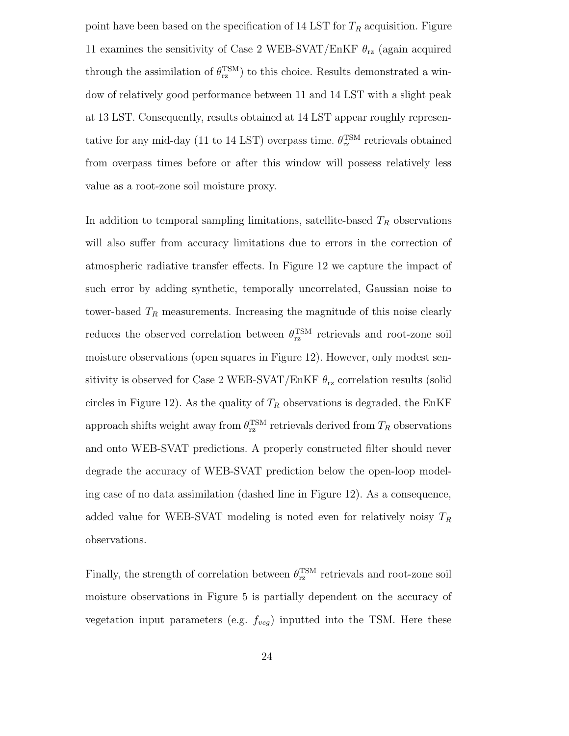point have been based on the specification of 14 LST for  $T_R$  acquisition. Figure 11 examines the sensitivity of Case 2 WEB-SVAT/EnKF  $\theta_{rz}$  (again acquired through the assimilation of  $\theta_{\text{rz}}^{\text{TSM}}$ ) to this choice. Results demonstrated a window of relatively good performance between 11 and 14 LST with a slight peak at 13 LST. Consequently, results obtained at 14 LST appear roughly representative for any mid-day (11 to 14 LST) overpass time.  $\theta_{\text{rz}}^{\text{TSM}}$  retrievals obtained from overpass times before or after this window will possess relatively less value as a root-zone soil moisture proxy.

In addition to temporal sampling limitations, satellite-based  $T_R$  observations will also suffer from accuracy limitations due to errors in the correction of atmospheric radiative transfer effects. In Figure 12 we capture the impact of such error by adding synthetic, temporally uncorrelated, Gaussian noise to tower-based  $T_R$  measurements. Increasing the magnitude of this noise clearly reduces the observed correlation between  $\theta_{\text{rz}}^{\text{TSM}}$  retrievals and root-zone soil moisture observations (open squares in Figure 12). However, only modest sensitivity is observed for Case 2 WEB-SVAT/EnKF  $\theta_{\text{rz}}$  correlation results (solid circles in Figure 12). As the quality of  $T_R$  observations is degraded, the EnKF approach shifts weight away from  $\theta_{\rm rz}^{\rm TSM}$  retrievals derived from  $T_R$  observations and onto WEB-SVAT predictions. A properly constructed filter should never degrade the accuracy of WEB-SVAT prediction below the open-loop modeling case of no data assimilation (dashed line in Figure 12). As a consequence, added value for WEB-SVAT modeling is noted even for relatively noisy  $T_R$ observations.

Finally, the strength of correlation between  $\theta_{\text{rz}}^{\text{TSM}}$  retrievals and root-zone soil moisture observations in Figure 5 is partially dependent on the accuracy of vegetation input parameters (e.g.  $f_{veg}$ ) inputted into the TSM. Here these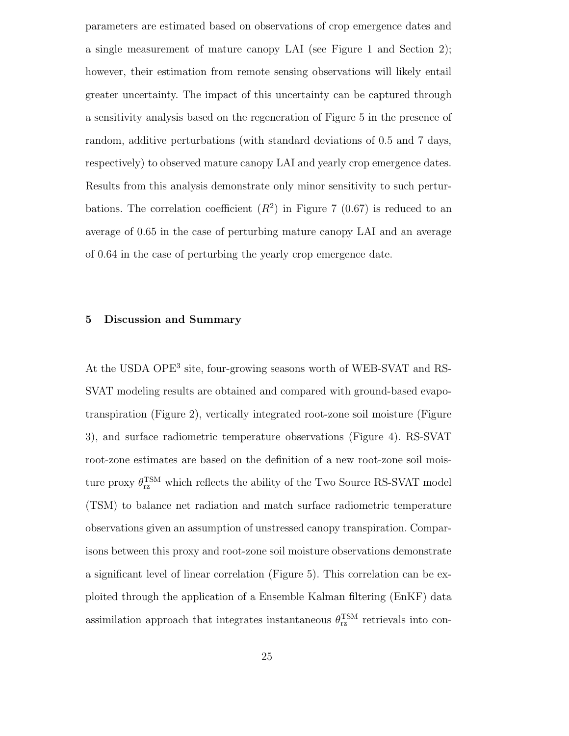parameters are estimated based on observations of crop emergence dates and a single measurement of mature canopy LAI (see Figure 1 and Section 2); however, their estimation from remote sensing observations will likely entail greater uncertainty. The impact of this uncertainty can be captured through a sensitivity analysis based on the regeneration of Figure 5 in the presence of random, additive perturbations (with standard deviations of 0.5 and 7 days, respectively) to observed mature canopy LAI and yearly crop emergence dates. Results from this analysis demonstrate only minor sensitivity to such perturbations. The correlation coefficient  $(R^2)$  in Figure 7 (0.67) is reduced to an average of 0.65 in the case of perturbing mature canopy LAI and an average of 0.64 in the case of perturbing the yearly crop emergence date.

#### 5 Discussion and Summary

At the USDA OPE<sup>3</sup> site, four-growing seasons worth of WEB-SVAT and RS-SVAT modeling results are obtained and compared with ground-based evapotranspiration (Figure 2), vertically integrated root-zone soil moisture (Figure 3), and surface radiometric temperature observations (Figure 4). RS-SVAT root-zone estimates are based on the definition of a new root-zone soil moisture proxy  $\theta_{\rm rz}^{\rm TSM}$  which reflects the ability of the Two Source RS-SVAT model (TSM) to balance net radiation and match surface radiometric temperature observations given an assumption of unstressed canopy transpiration. Comparisons between this proxy and root-zone soil moisture observations demonstrate a significant level of linear correlation (Figure 5). This correlation can be exploited through the application of a Ensemble Kalman filtering (EnKF) data assimilation approach that integrates instantaneous  $\theta_{\text{rz}}^{\text{TSM}}$  retrievals into con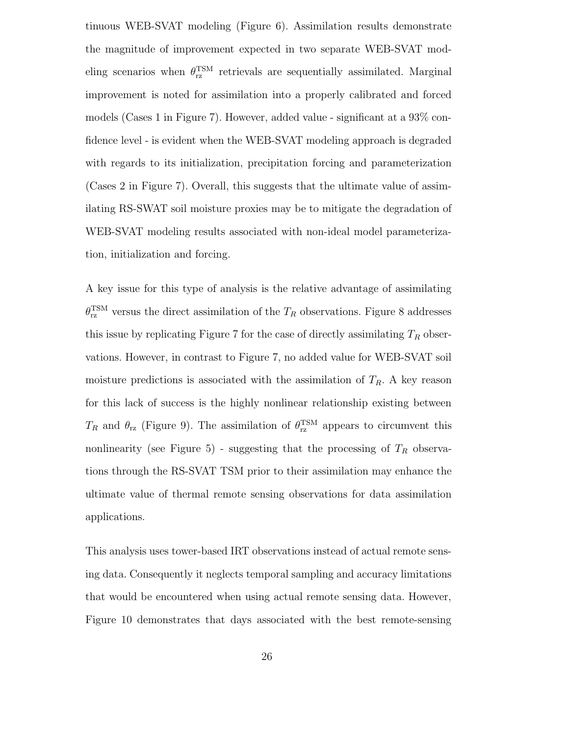tinuous WEB-SVAT modeling (Figure 6). Assimilation results demonstrate the magnitude of improvement expected in two separate WEB-SVAT modeling scenarios when  $\theta_{\text{rz}}^{\text{TSM}}$  retrievals are sequentially assimilated. Marginal improvement is noted for assimilation into a properly calibrated and forced models (Cases 1 in Figure 7). However, added value - significant at a 93% confidence level - is evident when the WEB-SVAT modeling approach is degraded with regards to its initialization, precipitation forcing and parameterization (Cases 2 in Figure 7). Overall, this suggests that the ultimate value of assimilating RS-SWAT soil moisture proxies may be to mitigate the degradation of WEB-SVAT modeling results associated with non-ideal model parameterization, initialization and forcing.

A key issue for this type of analysis is the relative advantage of assimilating  $\theta_{\text{rz}}^{\text{TSM}}$  versus the direct assimilation of the  $T_R$  observations. Figure 8 addresses this issue by replicating Figure 7 for the case of directly assimilating  $T_R$  observations. However, in contrast to Figure 7, no added value for WEB-SVAT soil moisture predictions is associated with the assimilation of  $T_R$ . A key reason for this lack of success is the highly nonlinear relationship existing between  $T_R$  and  $\theta_{\text{rz}}$  (Figure 9). The assimilation of  $\theta_{\text{rz}}^{\text{TSM}}$  appears to circumvent this nonlinearity (see Figure 5) - suggesting that the processing of  $T_R$  observations through the RS-SVAT TSM prior to their assimilation may enhance the ultimate value of thermal remote sensing observations for data assimilation applications.

This analysis uses tower-based IRT observations instead of actual remote sensing data. Consequently it neglects temporal sampling and accuracy limitations that would be encountered when using actual remote sensing data. However, Figure 10 demonstrates that days associated with the best remote-sensing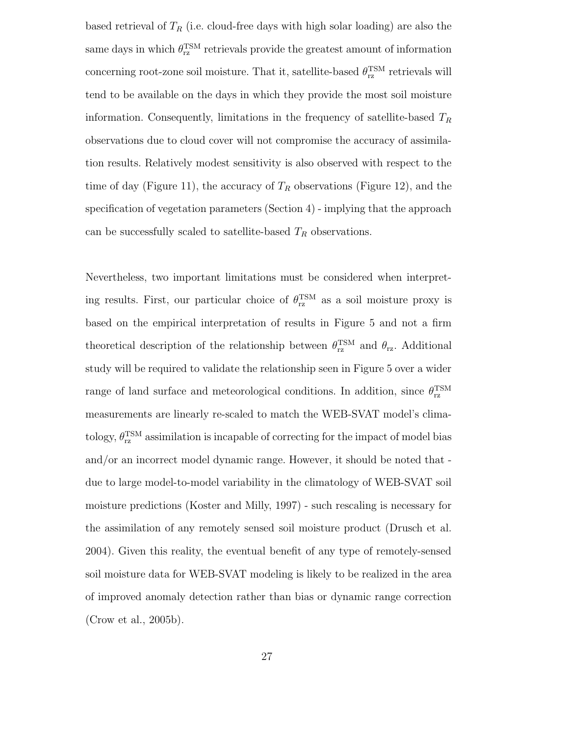based retrieval of  $T_R$  (i.e. cloud-free days with high solar loading) are also the same days in which  $\theta_{\text{rz}}^{\text{TSM}}$  retrievals provide the greatest amount of information concerning root-zone soil moisture. That it, satellite-based  $\theta_{\rm rz}^{\rm TSM}$  retrievals will tend to be available on the days in which they provide the most soil moisture information. Consequently, limitations in the frequency of satellite-based  $T_R$ observations due to cloud cover will not compromise the accuracy of assimilation results. Relatively modest sensitivity is also observed with respect to the time of day (Figure 11), the accuracy of  $T_R$  observations (Figure 12), and the specification of vegetation parameters (Section 4) - implying that the approach can be successfully scaled to satellite-based  $T_R$  observations.

Nevertheless, two important limitations must be considered when interpreting results. First, our particular choice of  $\theta_{\rm rz}^{\rm TSM}$  as a soil moisture proxy is based on the empirical interpretation of results in Figure 5 and not a firm theoretical description of the relationship between  $\theta_{\text{rz}}^{\text{TSM}}$  and  $\theta_{\text{rz}}$ . Additional study will be required to validate the relationship seen in Figure 5 over a wider range of land surface and meteorological conditions. In addition, since  $\theta_{\text{rz}}^{\text{TSM}}$ measurements are linearly re-scaled to match the WEB-SVAT model's climatology,  $\theta_{\rm rz}^{\rm TSM}$  assimilation is incapable of correcting for the impact of model bias and/or an incorrect model dynamic range. However, it should be noted that due to large model-to-model variability in the climatology of WEB-SVAT soil moisture predictions (Koster and Milly, 1997) - such rescaling is necessary for the assimilation of any remotely sensed soil moisture product (Drusch et al. 2004). Given this reality, the eventual benefit of any type of remotely-sensed soil moisture data for WEB-SVAT modeling is likely to be realized in the area of improved anomaly detection rather than bias or dynamic range correction (Crow et al., 2005b).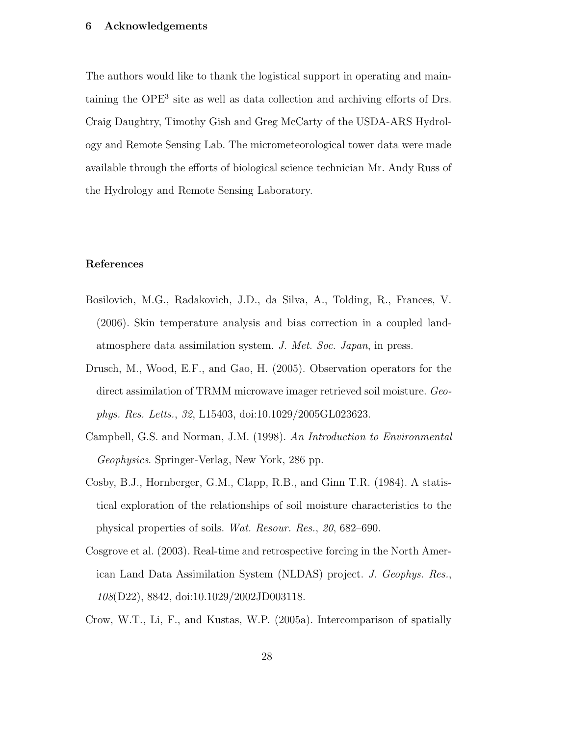# 6 Acknowledgements

The authors would like to thank the logistical support in operating and maintaining the OPE<sup>3</sup> site as well as data collection and archiving efforts of Drs. Craig Daughtry, Timothy Gish and Greg McCarty of the USDA-ARS Hydrology and Remote Sensing Lab. The micrometeorological tower data were made available through the efforts of biological science technician Mr. Andy Russ of the Hydrology and Remote Sensing Laboratory.

#### References

- Bosilovich, M.G., Radakovich, J.D., da Silva, A., Tolding, R., Frances, V. (2006). Skin temperature analysis and bias correction in a coupled landatmosphere data assimilation system. J. Met. Soc. Japan, in press.
- Drusch, M., Wood, E.F., and Gao, H. (2005). Observation operators for the direct assimilation of TRMM microwave imager retrieved soil moisture. Geophys. Res. Letts., 32, L15403, doi:10.1029/2005GL023623.
- Campbell, G.S. and Norman, J.M. (1998). An Introduction to Environmental Geophysics. Springer-Verlag, New York, 286 pp.
- Cosby, B.J., Hornberger, G.M., Clapp, R.B., and Ginn T.R. (1984). A statistical exploration of the relationships of soil moisture characteristics to the physical properties of soils. Wat. Resour. Res., 20, 682–690.
- Cosgrove et al. (2003). Real-time and retrospective forcing in the North American Land Data Assimilation System (NLDAS) project. J. Geophys. Res., 108(D22), 8842, doi:10.1029/2002JD003118.
- Crow, W.T., Li, F., and Kustas, W.P. (2005a). Intercomparison of spatially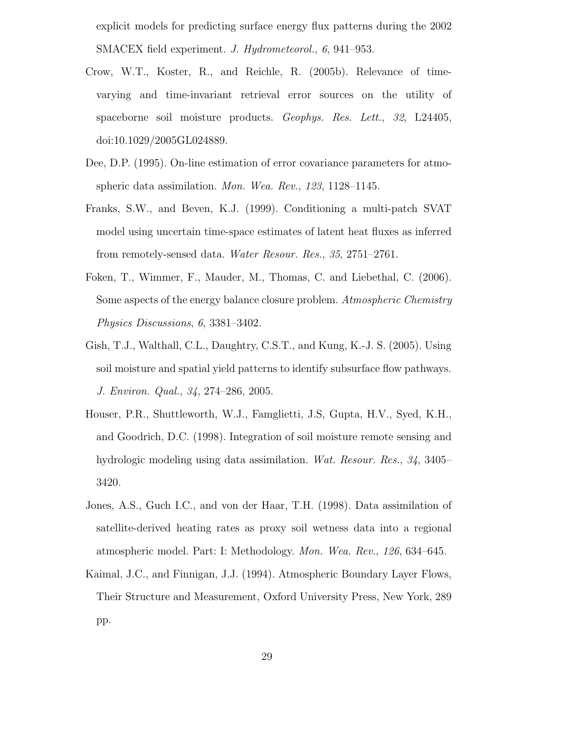explicit models for predicting surface energy flux patterns during the 2002 SMACEX field experiment. J. Hydrometeorol., 6, 941–953.

- Crow, W.T., Koster, R., and Reichle, R. (2005b). Relevance of timevarying and time-invariant retrieval error sources on the utility of spaceborne soil moisture products. Geophys. Res. Lett., 32, L24405, doi:10.1029/2005GL024889.
- Dee, D.P. (1995). On-line estimation of error covariance parameters for atmospheric data assimilation. Mon. Wea. Rev., 123, 1128–1145.
- Franks, S.W., and Beven, K.J. (1999). Conditioning a multi-patch SVAT model using uncertain time-space estimates of latent heat fluxes as inferred from remotely-sensed data. Water Resour. Res., 35, 2751–2761.
- Foken, T., Wimmer, F., Mauder, M., Thomas, C. and Liebethal, C. (2006). Some aspects of the energy balance closure problem. Atmospheric Chemistry Physics Discussions, 6, 3381–3402.
- Gish, T.J., Walthall, C.L., Daughtry, C.S.T., and Kung, K.-J. S. (2005). Using soil moisture and spatial yield patterns to identify subsurface flow pathways. J. Environ. Qual., 34, 274–286, 2005.
- Houser, P.R., Shuttleworth, W.J., Famglietti, J.S, Gupta, H.V., Syed, K.H., and Goodrich, D.C. (1998). Integration of soil moisture remote sensing and hydrologic modeling using data assimilation. Wat. Resour. Res., 34, 3405– 3420.
- Jones, A.S., Guch I.C., and von der Haar, T.H. (1998). Data assimilation of satellite-derived heating rates as proxy soil wetness data into a regional atmospheric model. Part: I: Methodology. Mon. Wea. Rev., 126, 634–645.
- Kaimal, J.C., and Finnigan, J.J. (1994). Atmospheric Boundary Layer Flows, Their Structure and Measurement, Oxford University Press, New York, 289 pp.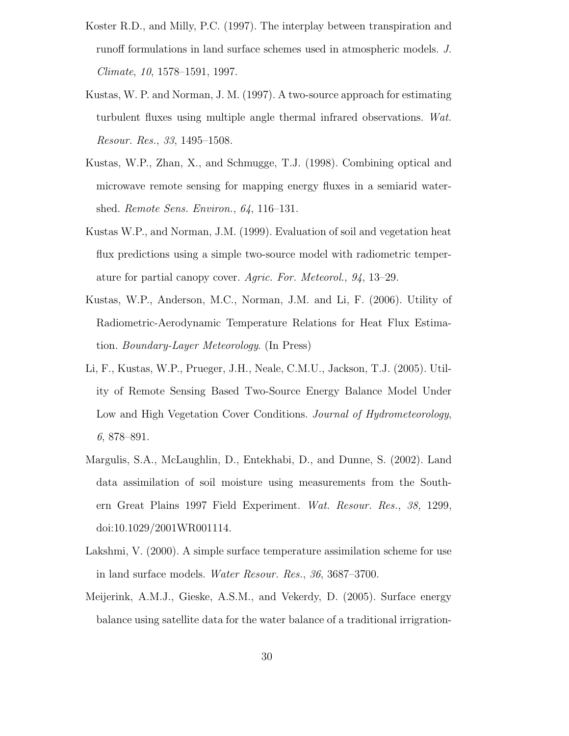- Koster R.D., and Milly, P.C. (1997). The interplay between transpiration and runoff formulations in land surface schemes used in atmospheric models. J. Climate, 10, 1578–1591, 1997.
- Kustas, W. P. and Norman, J. M. (1997). A two-source approach for estimating turbulent fluxes using multiple angle thermal infrared observations. Wat. Resour. Res., 33, 1495–1508.
- Kustas, W.P., Zhan, X., and Schmugge, T.J. (1998). Combining optical and microwave remote sensing for mapping energy fluxes in a semiarid watershed. Remote Sens. Environ., 64, 116–131.
- Kustas W.P., and Norman, J.M. (1999). Evaluation of soil and vegetation heat flux predictions using a simple two-source model with radiometric temperature for partial canopy cover. Agric. For. Meteorol., 94, 13–29.
- Kustas, W.P., Anderson, M.C., Norman, J.M. and Li, F. (2006). Utility of Radiometric-Aerodynamic Temperature Relations for Heat Flux Estimation. Boundary-Layer Meteorology. (In Press)
- Li, F., Kustas, W.P., Prueger, J.H., Neale, C.M.U., Jackson, T.J. (2005). Utility of Remote Sensing Based Two-Source Energy Balance Model Under Low and High Vegetation Cover Conditions. Journal of Hydrometeorology, 6, 878–891.
- Margulis, S.A., McLaughlin, D., Entekhabi, D., and Dunne, S. (2002). Land data assimilation of soil moisture using measurements from the Southern Great Plains 1997 Field Experiment. Wat. Resour. Res., 38, 1299, doi:10.1029/2001WR001114.
- Lakshmi, V. (2000). A simple surface temperature assimilation scheme for use in land surface models. Water Resour. Res., 36, 3687–3700.
- Meijerink, A.M.J., Gieske, A.S.M., and Vekerdy, D. (2005). Surface energy balance using satellite data for the water balance of a traditional irrigration-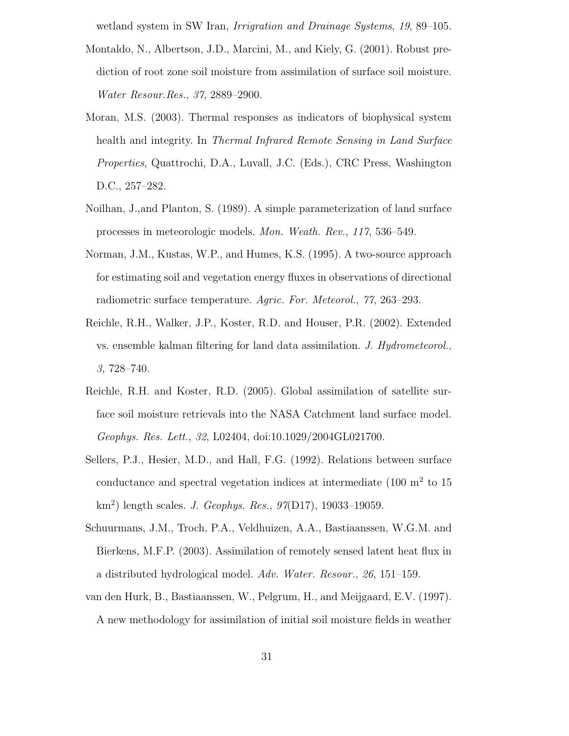wetland system in SW Iran, Irrigration and Drainage Systems, 19, 89–105.

- Montaldo, N., Albertson, J.D., Marcini, M., and Kiely, G. (2001). Robust prediction of root zone soil moisture from assimilation of surface soil moisture. Water Resour.Res., 37, 2889–2900.
- Moran, M.S. (2003). Thermal responses as indicators of biophysical system health and integrity. In Thermal Infrared Remote Sensing in Land Surface Properties, Quattrochi, D.A., Luvall, J.C. (Eds.), CRC Press, Washington D.C., 257–282.
- Noilhan, J.,and Planton, S. (1989). A simple parameterization of land surface processes in meteorologic models. Mon. Weath. Rev., 117, 536–549.
- Norman, J.M., Kustas, W.P., and Humes, K.S. (1995). A two-source approach for estimating soil and vegetation energy fluxes in observations of directional radiometric surface temperature. Agric. For. Meteorol., 77, 263–293.
- Reichle, R.H., Walker, J.P., Koster, R.D. and Houser, P.R. (2002). Extended vs. ensemble kalman filtering for land data assimilation. J. Hydrometeorol., 3, 728–740.
- Reichle, R.H. and Koster, R.D. (2005). Global assimilation of satellite surface soil moisture retrievals into the NASA Catchment land surface model. Geophys. Res. Lett., 32, L02404, doi:10.1029/2004GL021700.
- Sellers, P.J., Hesier, M.D., and Hall, F.G. (1992). Relations between surface conductance and spectral vegetation indices at intermediate  $(100 \text{ m}^2 \text{ to } 15)$ km<sup>2</sup>) length scales. *J. Geophys. Res.*, 97(D17), 19033-19059.
- Schuurmans, J.M., Troch, P.A., Veldhuizen, A.A., Bastiaanssen, W.G.M. and Bierkens, M.F.P. (2003). Assimilation of remotely sensed latent heat flux in a distributed hydrological model. Adv. Water. Resour., 26, 151–159.
- van den Hurk, B., Bastiaanssen, W., Pelgrum, H., and Meijgaard, E.V. (1997). A new methodology for assimilation of initial soil moisture fields in weather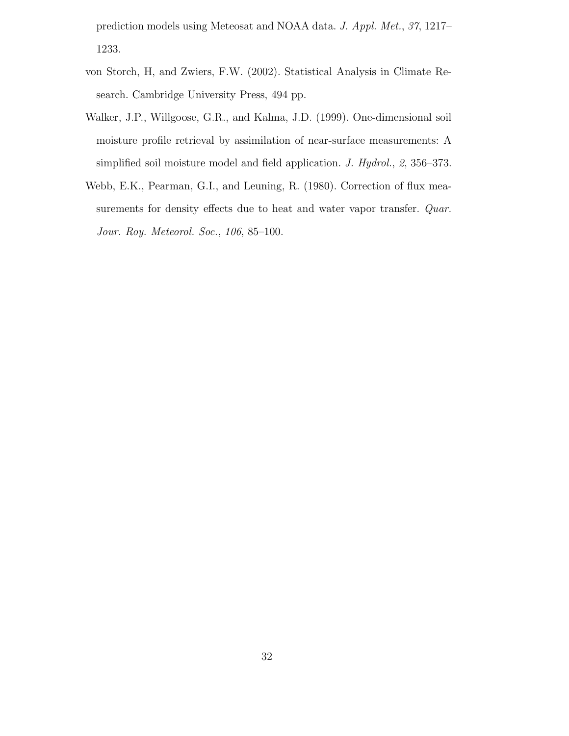prediction models using Meteosat and NOAA data. J. Appl. Met., 37, 1217– 1233.

- von Storch, H, and Zwiers, F.W. (2002). Statistical Analysis in Climate Research. Cambridge University Press, 494 pp.
- Walker, J.P., Willgoose, G.R., and Kalma, J.D. (1999). One-dimensional soil moisture profile retrieval by assimilation of near-surface measurements: A simplified soil moisture model and field application. J. Hydrol., 2, 356–373.
- Webb, E.K., Pearman, G.I., and Leuning, R. (1980). Correction of flux measurements for density effects due to heat and water vapor transfer. *Quar*. Jour. Roy. Meteorol. Soc., 106, 85–100.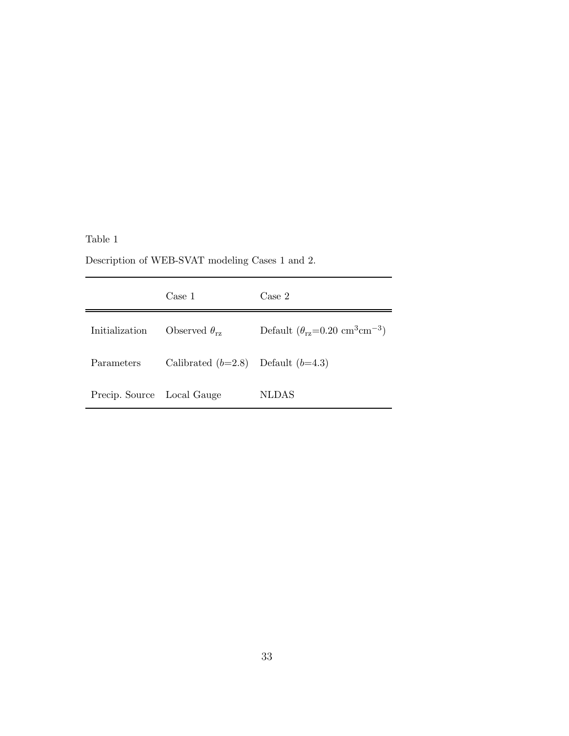Table 1

Description of WEB-SVAT modeling Cases 1 and 2.

|                            | Case 1                        | Case 2                                                          |
|----------------------------|-------------------------------|-----------------------------------------------------------------|
| Initialization             | Observed $\theta_{\text{rz}}$ | Default $(\theta_{\text{rz}}=0.20 \text{ cm}^3 \text{cm}^{-3})$ |
| Parameters                 | Calibrated $(b=2.8)$          | Default $(b=4.3)$                                               |
| Precip. Source Local Gauge |                               | <b>NLDAS</b>                                                    |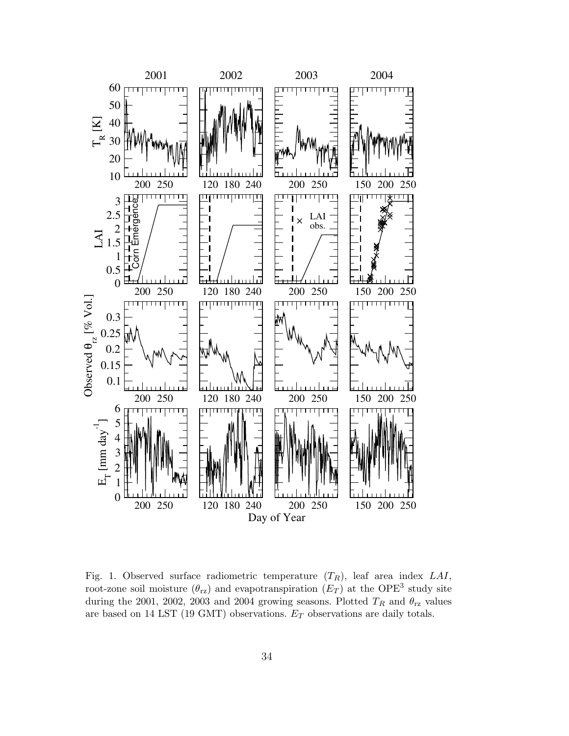

Fig. 1. Observed surface radiometric temperature  $(T_R)$ , leaf area index LAI, root-zone soil moisture  $(\theta_{\text{rz}})$  and evapotranspiration  $(E_T)$  at the OPE<sup>3</sup> study site during the 2001, 2002, 2003 and 2004 growing seasons. Plotted  $T_R$  and  $\theta_{\rm rz}$  values are based on 14 LST (19 GMT) observations.  $E_T$  observations are daily totals.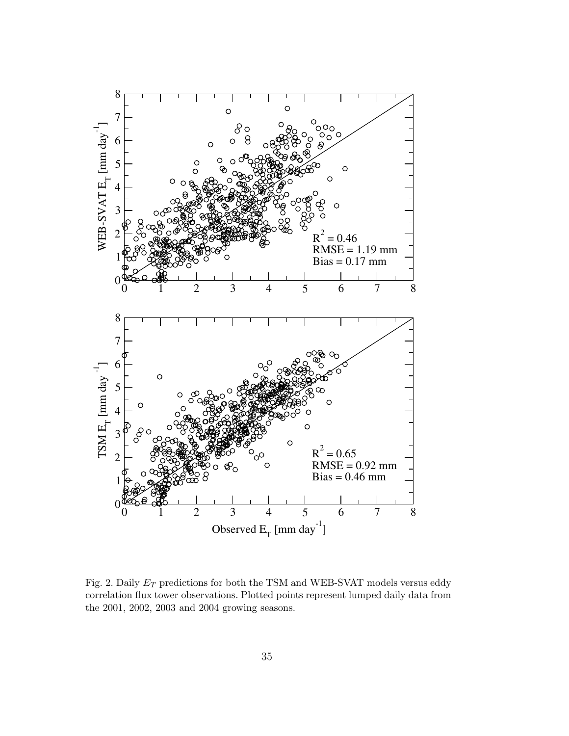

Fig. 2. Daily  $E_T$  predictions for both the TSM and WEB-SVAT models versus eddy correlation flux tower observations. Plotted points represent lumped daily data from the 2001, 2002, 2003 and 2004 growing seasons.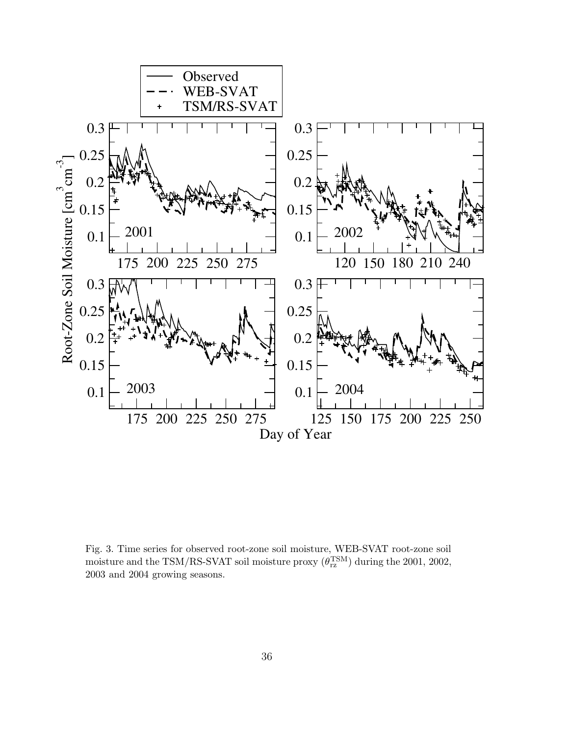

Fig. 3. Time series for observed root-zone soil moisture, WEB-SVAT root-zone soil moisture and the TSM/RS-SVAT soil moisture proxy  $(\theta_{\text{rz}}^{\text{TSM}})$  during the 2001, 2002, 2003 and 2004 growing seasons.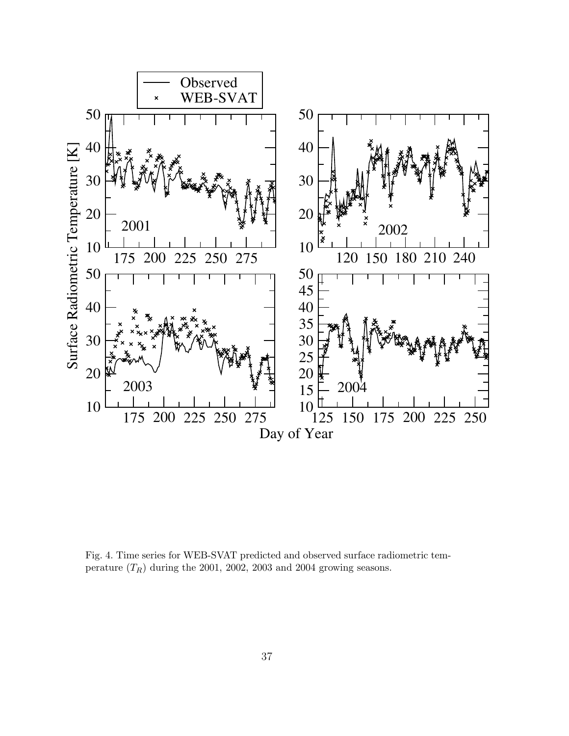

Fig. 4. Time series for WEB-SVAT predicted and observed surface radiometric temperature  $(T_R)$  during the 2001, 2002, 2003 and 2004 growing seasons.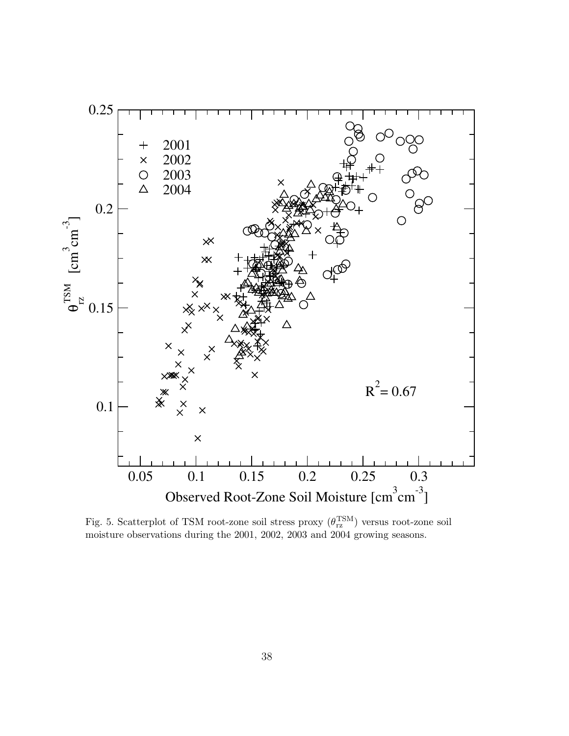

Fig. 5. Scatterplot of TSM root-zone soil stress proxy  $(\theta_{\text{rz}}^{\text{TSM}})$  versus root-zone soil moisture observations during the 2001, 2002, 2003 and 2004 growing seasons.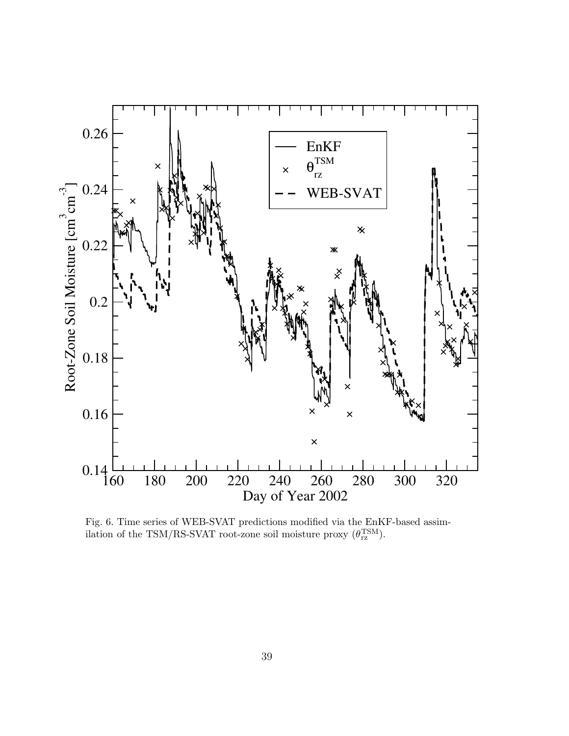

Fig. 6. Time series of WEB-SVAT predictions modified via the EnKF-based assimilation of the TSM/RS-SVAT root-zone soil moisture proxy  $(\theta_{rz}^{TSM})$ .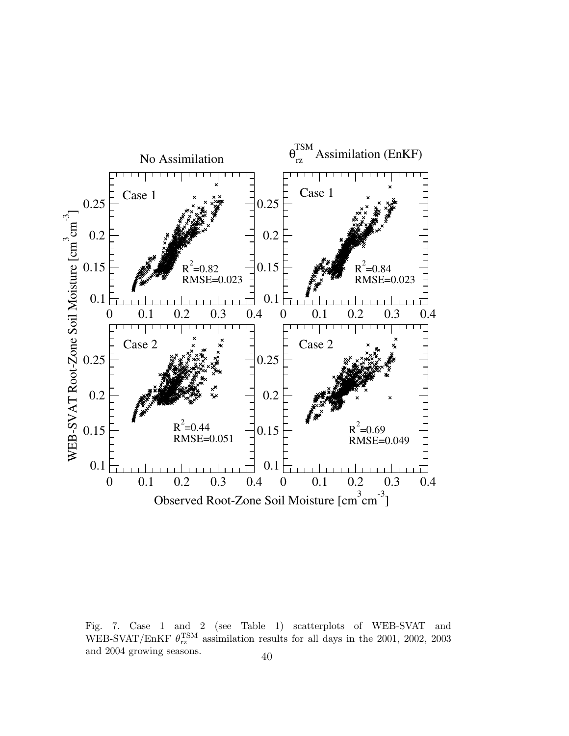

Fig. 7. Case 1 and 2 (see Table 1) scatterplots of WEB-SVAT and WEB-SVAT/EnKF  $\theta_{\rm rz}^{\rm TSM}$  assimilation results for all days in the 2001, 2002, 2003 and 2004 growing seasons.  $40$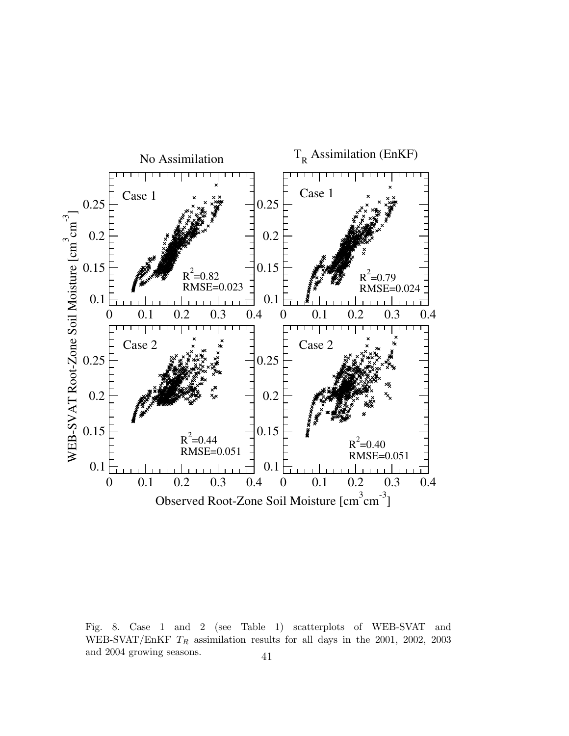

Fig. 8. Case 1 and 2 (see Table 1) scatterplots of WEB-SVAT and WEB-SVAT/EnKF  $T_R$  assimilation results for all days in the 2001, 2002, 2003 and 2004 growing seasons.  $41$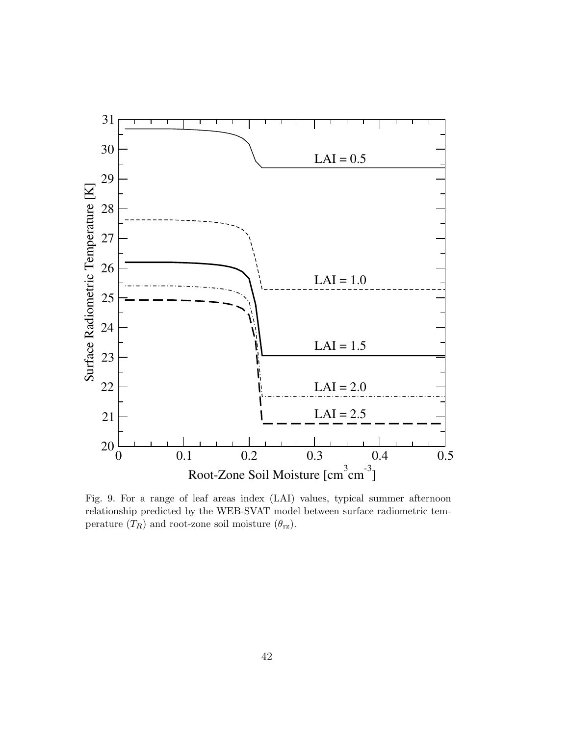

Fig. 9. For a range of leaf areas index (LAI) values, typical summer afternoon relationship predicted by the WEB-SVAT model between surface radiometric temperature  $(T_R)$  and root-zone soil moisture  $(\theta_{\text{rz}})$ .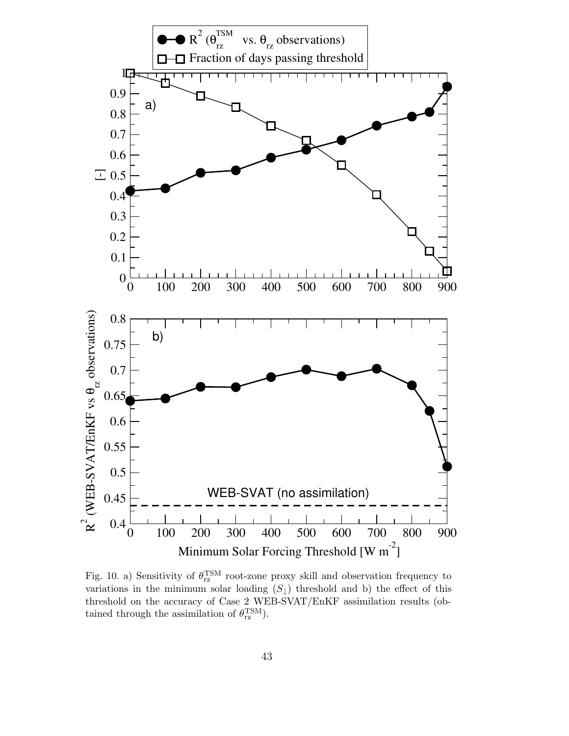

Fig. 10. a) Sensitivity of  $\theta_{\text{rz}}^{\text{TSM}}$  root-zone proxy skill and observation frequency to variations in the minimum solar loading  $(S_{\downarrow})$  threshold and b) the effect of this threshold on the accuracy of Case 2 WEB-SVAT/EnKF assimilation results (obtained through the assimilation of  $\theta_{\text{rz}}^{\text{TSM}}$ ).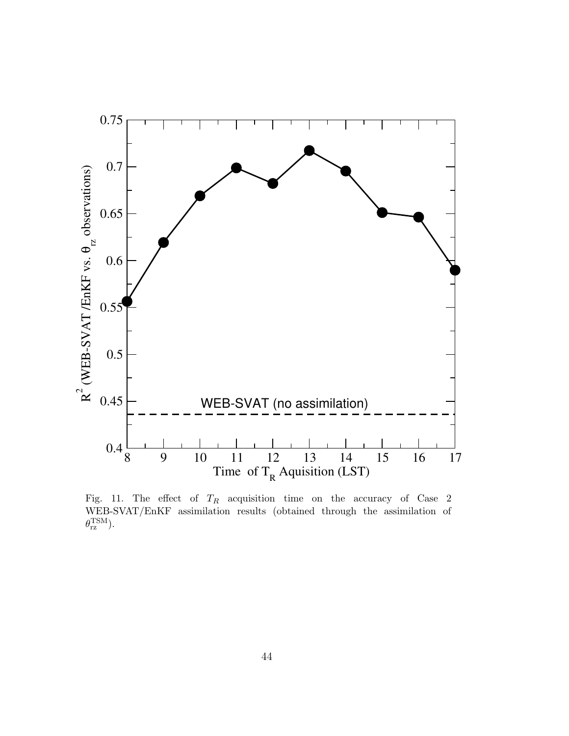

Fig. 11. The effect of  $T_R$  acquisition time on the accuracy of Case 2 WEB-SVAT/EnKF assimilation results (obtained through the assimilation of  $\theta_{\rm rz}^{\rm TSM}$ ).